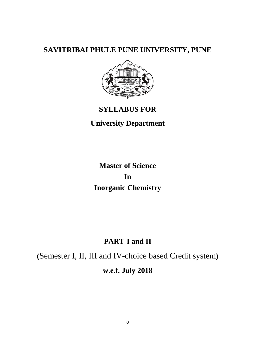# **SAVITRIBAI PHULE PUNE UNIVERSITY, PUNE**



# **SYLLABUS FOR**

# **University Department**

# **Master of Science In Inorganic Chemistry**

# **PART-I and II**

**(**Semester I, II, III and IV-choice based Credit system**) w.e.f. July 2018**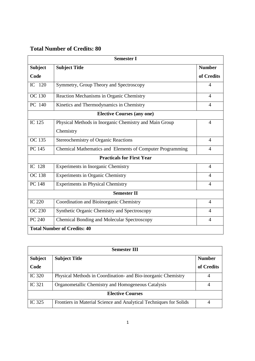# **Total Number of Credits: 80**

| <b>Semester I</b>                  |                                                           |                |  |  |
|------------------------------------|-----------------------------------------------------------|----------------|--|--|
| <b>Subject</b>                     | <b>Subject Title</b>                                      | <b>Number</b>  |  |  |
| Code                               |                                                           | of Credits     |  |  |
| IC 120                             | Symmetry, Group Theory and Spectroscopy                   | 4              |  |  |
| <b>OC</b> 130                      | Reaction Mechanisms in Organic Chemistry                  | $\overline{4}$ |  |  |
| PC 140                             | Kinetics and Thermodynamics in Chemistry                  | $\overline{4}$ |  |  |
| <b>Elective Courses (any one)</b>  |                                                           |                |  |  |
| IC 125                             | Physical Methods in Inorganic Chemistry and Main Group    | $\overline{4}$ |  |  |
|                                    | Chemistry                                                 |                |  |  |
| <b>OC</b> 135                      | <b>Stereochemistry of Organic Reactions</b>               | $\overline{4}$ |  |  |
| PC 145                             | Chemical Mathematics and Elements of Computer Programming | $\overline{4}$ |  |  |
| <b>Practicals for First Year</b>   |                                                           |                |  |  |
| IC 128                             | <b>Experiments in Inorganic Chemistry</b>                 | $\overline{4}$ |  |  |
| <b>OC</b> 138                      | <b>Experiments in Organic Chemistry</b>                   | $\overline{4}$ |  |  |
| <b>PC 148</b>                      | <b>Experiments in Physical Chemistry</b>                  | $\overline{4}$ |  |  |
|                                    | <b>Semester II</b>                                        |                |  |  |
| <b>IC 220</b>                      | Coordination and Bioinorganic Chemistry                   | $\overline{4}$ |  |  |
| <b>OC 230</b>                      | Synthetic Organic Chemistry and Spectroscopy              | 4              |  |  |
| PC 240                             | <b>Chemical Bonding and Molecular Spectroscopy</b>        | $\overline{4}$ |  |  |
| <b>Total Number of Credits: 40</b> |                                                           |                |  |  |

| Semester III            |                                                                    |               |  |
|-------------------------|--------------------------------------------------------------------|---------------|--|
| <b>Subject</b>          | <b>Subject Title</b>                                               | <b>Number</b> |  |
| Code                    |                                                                    | of Credits    |  |
| IC 320                  | Physical Methods in Coordination- and Bio-inorganic Chemistry      | 4             |  |
| IC 321                  | Organometallic Chemistry and Homogeneous Catalysis                 |               |  |
| <b>Elective Courses</b> |                                                                    |               |  |
| IC 325                  | Frontiers in Material Science and Analytical Techniques for Solids | 4             |  |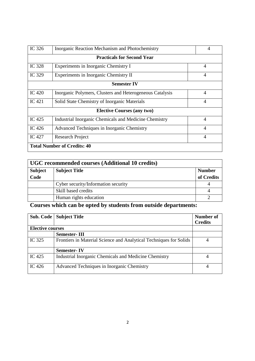| IC 326                             | Inorganic Reaction Mechanism and Photochemistry          |  | $\overline{4}$ |
|------------------------------------|----------------------------------------------------------|--|----------------|
| <b>Practicals for Second Year</b>  |                                                          |  |                |
| IC 328                             | Experiments in Inorganic Chemistry I                     |  | 4              |
| IC 329                             | Experiments in Inorganic Chemistry II                    |  | 4              |
| <b>Semester IV</b>                 |                                                          |  |                |
| IC $420$                           | Inorganic Polymers, Clusters and Heterogeneous Catalysis |  | $\overline{4}$ |
| IC $421$                           | Solid State Chemistry of Inorganic Materials             |  | $\overline{4}$ |
| <b>Elective Courses (any two)</b>  |                                                          |  |                |
| IC 425                             | Industrial Inorganic Chemicals and Medicine Chemistry    |  | $\overline{4}$ |
| IC $426$                           | Advanced Techniques in Inorganic Chemistry               |  | $\overline{4}$ |
| IC 427                             | <b>Research Project</b>                                  |  | $\overline{4}$ |
| <b>Total Number of Credits: 40</b> |                                                          |  |                |

| UGC recommended courses (Additional 10 credits) |                                     |               |  |
|-------------------------------------------------|-------------------------------------|---------------|--|
| <b>Subject</b>                                  | <b>Subject Title</b>                | <b>Number</b> |  |
| Code                                            |                                     | of Credits    |  |
|                                                 | Cyber security/Information security |               |  |
|                                                 | Skill based credits                 |               |  |
|                                                 | Human rights education              |               |  |

# **Courses which can be opted by students from outside departments:**

| Sub. Code               | <b>Subject Title</b>                                               | Number of<br><b>Credits</b> |
|-------------------------|--------------------------------------------------------------------|-----------------------------|
| <b>Elective courses</b> |                                                                    |                             |
|                         | <b>Semester-III</b>                                                |                             |
| IC 325                  | Frontiers in Material Science and Analytical Techniques for Solids |                             |
|                         | <b>Semester-IV</b>                                                 |                             |
| IC $425$                | Industrial Inorganic Chemicals and Medicine Chemistry              |                             |
| IC $426$                | Advanced Techniques in Inorganic Chemistry                         |                             |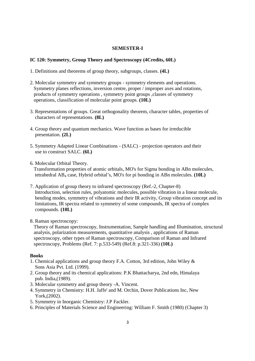### **SEMESTER-I**

### **IC 120: Symmetry, Group Theory and Spectroscopy (4Credits, 60L)**

- 1. Definitions and theorems of group theory, subgroups, classes. **(4L)**
- 2. Molecular symmetry and symmetry groups symmetry elements and operations. Symmetry planes reflections, inversion centre, proper / improper axes and rotations, products of symmetry operations , symmetry point groups ,classes of symmetry operations, classification of molecular point groups. **(10L)**
- 3. Representations of groups. Great orthogonality theorem, character tables, properties of characters of representations. **(8L)**
- 4. Group theory and quantum mechanics. Wave function as bases for irreducible presentation. **(2L)**
- 5. Symmetry Adapted Linear Combinations (SALC) projection operators and their use to construct SALC. **(6L)**
- 6. Molecular Orbital Theory.

 Transformation properties of atomic orbitals, MO's for Sigma bonding in ABn molecules, tetrahedral AB4 case, Hybrid orbital's, MO's for pi bonding in ABn molecules. **(10L)** 

- 7. Application of group theory to infrared spectroscopy (Ref.-2, Chapter-8) Introduction, selection rules, polyatomic molecules, possible vibration in a linear molecule, bending modes, symmetry of vibrations and their IR activity, Group vibration concept and its limitations, IR spectra related to symmetry of some compounds, IR spectra of complex compounds. **(10L)**
- 8. Raman spectroscopy:

 Theory of Raman spectroscopy, Instrumentation, Sample handling and Illumination, structural analysis, polarization measurements, quantitative analysis , applications of Raman spectroscopy, other types of Raman spectroscopy, Comparison of Raman and Infrared spectroscopy, Problems (Ref. 7: p.533-549) (Ref.8: p.321-336) **(10L)**

# **Books**

- 1. Chemical applications and group theory F.A. Cotton, 3rd edition, John Wiley & Sons Asia Pvt. Ltd. (1999).
- 2. Group theory and its chemical applications: P.K Bhattacharya, 2nd edn, Himalaya pub. India,(1989).
- 3. Molecular symmetry and group theory -A. Vincent.
- 4. Symmetry in Chemistry: H.H. Jaffe' and M. Orchin, Dover Publications Inc, New York,(2002).
- 5. Symmetry in Inorganic Chemistry: J.P Fackler.
- 6. Principles of Materials Science and Engineering: William F. Smith (1980) (Chapter 3)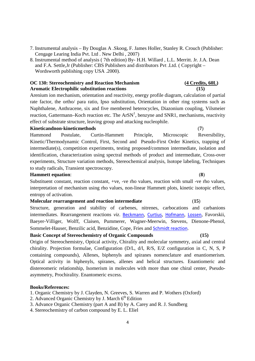- 7. Instrumental analysis By Douglas A .Skoog, F. James Holler, Stanley R. Crouch (Publisher: Cengage Learing India Pvt. Ltd . New Delhi , 2007)
- 8. Instrumental method of analysis ( 7th edition) By- H.H. Willard , L.L. Merritt. Jr. J.A. Dean and F.A. Settle,Jr (Publisher: CBS Publishers and distributors Pvt .Ltd. ( Copyright – Wordsworth publishing copy USA .2000).

### **OC 130: Stereochemistry and Reaction Mechanism (4 Credits, 60L) Aromatic Electrophilic substitution reactions (15)**

Arenium ion mechanism, orientation and reactivity, energy profile diagram, calculation of partial rate factor, the ortho/ para ratio, Ipso substitution, Orientation in other ring systems such as Naphthalene, Anthracene, six and five membered heterocycles, Diazonium coupling, Vilsmeier reaction, Gattermann–Koch reaction etc. The  $ArSN<sup>1</sup>$ , benzyne and SNR1, mechanisms, reactivity effect of substrate structure, leaving group and attacking nucleophile.

### **Kineticandnon-kineticmethods** (**7**)

Hammond Postulate, Curtin-Hammett Principle, Microscopic Reversibility, Kinetic/Thermodynamic Control, First, Second and Pseudo-First Order Kinetics, trapping of intermediate(s), competition experiments, testing proposed/common intermediate, isolation and identification, characterization using spectral methods of product and intermediate, Cross-over experiments, Structure variation methods, Stereochemical analysis, Isotope labeling, Techniques to study radicals, Transient spectroscopy.

### **Hammett equation**: (**8**)

Substituent constant, reaction constant, +ve, -ve rho values, reaction with small -ve rho values, interpretation of mechanism using rho values, non-linear Hammett plots, kinetic isotopic effect, entropy of activation.

### **Molecular rearrangement and reaction intermediate** (**15**)

Structure, generation and stability of carbenes, nitrenes, carbocations and carbanions intermediates. Rearrangement reactions *viz*. Beckmann, Curtius, Hofmann, Lossen, Favorskii, Baeyer-Villiger, Wolff, Claisen, Pummerer, Wagner-Meerwin, Stevens, Dienone-Phenol, Sommelet-Hauser, Benzilic acid, Benzidine, Cope, Fries and Schmidt reaction.

### **Basic Concept of Stereochemistry of Organic Compounds (15)**

Origin of Stereochemistry, Optical activity, Chirality and molecular symmetry, axial and central chirality. Projection formulae, Configuration (D/L, d/l, R/S, E/Z configuration in C, N, S, P containing compounds), Allenes, biphenyls and spiranes nomenclature and enantiomerism. Optical activity in biphenyls, spiranes, allenes and helical structures. Enantiomeric and distereomeric relationship, Isomerism in molecules with more than one chiral center, Pseudoasymmetry, Prochirality. Enantomeric excess.

### **Books/References:**

1. Organic Chemistry by J. Clayden, N. Greeves, S. Warren and P. Wothers (Oxford)

- 2. Advanced Organic Chemistry by J. March  $6<sup>th</sup>$  Edition
- 3. Advance Organic Chemistry (part A and B) by A. Carey and R. J. Sundberg
- 4. Stereochemistry of carbon compound by E. L. Eliel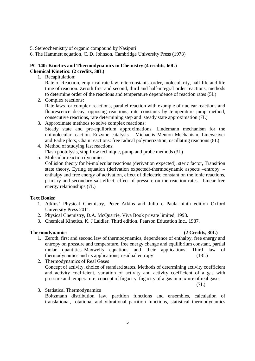5. Stereochemistry of organic compound by Nasipuri

6. The Hammett equation, C. D. Johnson, Cambridge University Press (1973)

# **PC 140: Kinetics and Thermodynamics in Chemistry (4 credits, 60L) Chemical Kinetics: (2 credits, 30L)**

1. Recapitulation:

Rate of Reaction, empirical rate law, rate constants, order, molecularity, half-life and life time of reaction. Zeroth first and second, third and half-integral order reactions, methods to determine order of the reactions and temperature dependence of reaction rates (5L)

- 2. Complex reactions: Rate laws for complex reactions, parallel reaction with example of nuclear reactions and fluorescence decay, opposing reactions, rate constants by temperature jump method, consecutive reactions, rate determining step and steady state approximation (7L)
- 3. Approximate methods to solve complex reactions: Steady state and pre-equlibrium approximations, Lindemann mechanism for the unimolecular reaction. Enzyme catalysis – Michaelis Menton Mechanism, Lineweaver and Eadie plots, Chain reactions: free radical polymerization, oscillating reactions (8L)
- 4. Method of studying fast reactions: Flash photolysis, stop flow technique, pump and probe methods (3L)
- 5. Molecular reaction dynamics: Collision theory for bi-molecular reactions (derivation expected), steric factor, Transition state theory, Eyring equation (derivation expected)-thermodynamic aspects –entropy. – enthalpy and free energy of activation, effect of dielectric constant on the ionic reactions, primary and secondary salt effect, effect of pressure on the reaction rates. Linear free energy relationships (7L)

# **Text Books:**

- 1. Atkins' Physical Chemistry, Peter Atkins and Julio e Paula ninth edition Oxford University Press 2011.
- 2. Physical Chemistry, D.A. McQuarrie, Viva Book private limited, 1998.
- 3. Chemical Kinetics, K. J Laidler, Third edition, Pearson Education Inc., 1987.

# **Thermodynamics (2 Credits, 30L)**

1. Zeroth, first and second law of thermodynamics, dependence of enthalpy, free energy and entropy on pressure and temperature, free energy change and equilibrium constant, partial molar quantities–Maxwells equations and their applications, Third law of thermodynamics and its applications, residual entropy (13L)

2. Thermodynamics of Real Gases Concept of activity, choice of standard states, Methods of determining activity coefficient and activity coefficient, variation of activity and activity coefficient of a gas with pressure and temperature, concept of fugacity, fugacity of a gas in mixture of real gases

(7L)

3. Statistical Thermodynamics Boltzmann distribution law, partition functions and ensembles, calculation of translational, rotational and vibrational partition functions, statistical thermodynamics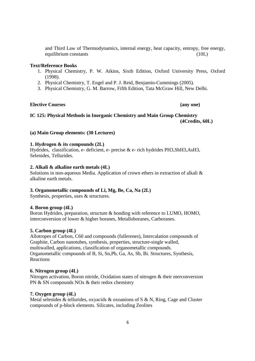and Third Law of Thermodynamics, internal energy, heat capacity, entropy, free energy, equilibrium constants (10L)

### **Text/Reference Books**

- 1. Physical Chemistry, P. W. Atkins, Sixth Edition, Oxford University Press, Oxford (1998).
- 2. Physical Chemistry, T. Engel and P. J. Reid, Benjamin-Cummings (2005).
- 3. Physical Chemistry, G. M. Barrow, Fifth Edition, Tata McGraw Hill, New Delhi.

### **Elective Courses** (any one) *Clearly Courses*

# **IC 125: Physical Methods in Inorganic Chemistry and Main Group Chemistry (4Credits, 60L)**

### **(a) Main Group elements: (30 Lectures)**

## **1. Hydrogen & its compounds (2L)**

Hydrides, classification, e- deficient, e- precise & e- rich hydrides PH3,SbH3,AsH3, Selenides, Tellurides.

### **2. Alkali & alkaline earth metals (4L)**

Solutions in non-aqueous Media. Application of crown ethers in extraction of alkali & alkaline earth metals.

### **3. Organometallic compounds of Li, Mg, Be, Ca, Na (2L)**

Synthesis, properties, uses & structures.

### **4. Boron group (4L)**

Boron Hydrides, preparation, structure & bonding with reference to LUMO, HOMO, interconversion of lower & higher boranes, Metalloboranes, Carboranes.

### **5. Carbon group (4L)**

Allotropes of Carbon, C60 and compounds (fullerenes), Intercalation compounds of Graphite, Carbon nanotubes, synthesis, properties, structure-single walled, multiwalled, applications, classification of organometallic compounds. Organometallic compounds of B, Si, Sn,Pb, Ga, As, Sb, Bi. Structures, Synthesis, Reactions

## **6. Nitrogen group (4L)**

Nitrogen activation, Boron nitride, Oxidation states of nitrogen & their nterconversion PN & SN compounds NOx & their redox chemistry

### **7. Oxygen group (4L)**

Metal selenides & tellurides, oxyacids & oxoanions of S & N, Ring, Cage and Cluster compounds of p-block elements. Silicates, including Zeolites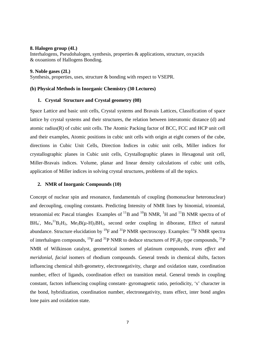### **8. Halogen group (4L)**

Interhalogens, Pseudohalogen, synthesis, properties & applications, structure, oxyacids & oxoanions of Hallogens Bonding.

### **9. Noble gases (2L)**

Synthesis, properties, uses, structure & bonding with respect to VSEPR.

## **(b) Physical Methods in Inorganic Chemistry (30 Lectures)**

### **1. Crystal Structure and Crystal geometry (08)**

Space Lattice and basic unit cells, Crystal systems and Bravais Lattices, Classification of space lattice by crystal systems and their structures, the relation between interatomic distance (d) and atomic radius(R) of cubic unit cells. The Atomic Packing factor of BCC, FCC and HCP unit cell and their examples, Atomic positions in cubic unit cells with origin at eight corners of the cube, directions in Cubic Unit Cells, Direction Indices in cubic unit cells, Miller indices for crystallographic planes in Cubic unit cells, Crystallographic planes in Hexagonal unit cell, Miller-Bravais indices. Volume, planar and linear density calculations of cubic unit cells, application of Miller indices in solving crystal structures, problems of all the topics.

### **2. NMR of Inorganic Compounds (10)**

Concept of nuclear spin and resonance, fundamentals of coupling (homonuclear heteronuclear) and decoupling, coupling constants. Predicting Intensity of NMR lines by binomial, trinomial, tetranomial etc Pascal triangles Examples of  $^{11}$ B and  $^{10}$ B NMR,  $^{1}$ H and  $^{11}$ B NMR spectra of of BH<sub>4</sub>, Me<sub>4</sub><sup>11</sup>B<sub>2</sub>H<sub>2</sub>, Me<sub>2</sub>B( $\mu$ -H)<sub>2</sub>BH<sub>2</sub>, second order coupling in diborane, Effect of natural abundance. Structure elucidation by  $^{19}F$  and  $^{31}P$  NMR spectroscopy. Examples:  $^{19}F$  NMR spectra of interhalogen compounds, <sup>19</sup>F and <sup>31</sup>P NMR to deduce structures of  $PF_3R_2$  type compounds, <sup>31</sup>P NMR of Wilkinson catalyst, geometrical isomers of platinum compounds, *trans effect* and *meridonial*, *facial* isomers of rhodium compounds. General trends in chemical shifts, factors influencing chemical shift-geometry, electronegativity, charge and oxidation state, coordination number, effect of ligands, coordination effect on transition metal. General trends in coupling constant, factors influencing coupling constant- gyromagnetic ratio, periodicity, 's' character in the bond, hybridization, coordination number, electronegativity, trans effect, inter bond angles lone pairs and oxidation state.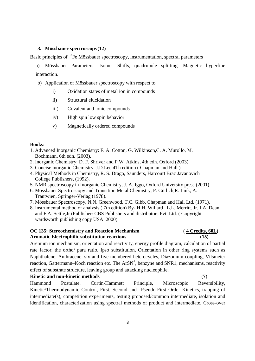## **3. Mössbauer spectroscopy(12)**

Basic principles of <sup>57</sup>Fe Mössbauer spectroscopy, instrumentation, spectral parameters

- a) Mössbauer Parameters- Isomer Shifts, quadrupole splitting, Magnetic hyperfine interaction.
- b) Application of Mössbauer spectroscopy with respect to
	- i) Oxidation states of metal ion in compounds
	- ii) Structural elucidation
	- iii) Covalent and ionic compounds
	- iv) High spin low spin behavior
	- v) Magnetically ordered compounds

# **Books:**

- 1. Advanced Inorganic Chemistry: F. A. Cotton, G. Wilkinson,C. A. Murollo, M. Bochmann, 6th edn. (2003).
- 2. Inorganic Chemistry: D. F. Shriver and P.W. Atkins, 4th edn. Oxford (2003).
- 3. Concise inorganic Chemistry, J.D.Lee 4Th edition ( Chapman and Hall )
- 4. Physical Methods in Chemistry, R. S. Drago, Saunders, Harcourt Brac Javanovich College Publishers, (1992).
- 5. NMR spectroscopy in Inorganic Chemistry, J. A. Iggo, Oxford University press (2001).
- 6. Mössbauer Spectroscopy and Transition Metal Chemistry, P. Gütlich,R. Link, A. Trautwien, Springer-Verlag (1978).
- 7. Mössbauer Spectroscopy, N.N. Greenwood, T.C. Gibb, Chapman and Hall Ltd. (1971).
- 8. Instrumental method of analysis ( 7th edition) By- H.H. Willard , L.L. Merritt. Jr. J.A. Dean and F.A. Settle,Jr (Publisher: CBS Publishers and distributors Pvt .Ltd. ( Copyright – wardsworth publishing copy USA .2000).

# **OC 135: Stereochemistry and Reaction Mechanism** ( **4 Credits, 60L) Aromatic Electrophilic substitution reactions (15)**

Arenium ion mechanism, orientation and reactivity, energy profile diagram, calculation of partial rate factor, the ortho/ para ratio, Ipso substitution, Orientation in other ring systems such as Naphthalene, Anthracene, six and five membered heterocycles, Diazonium coupling, Vilsmeier reaction, Gattermann–Koch reaction etc. The  $ArSN<sup>1</sup>$ , benzyne and SNR1, mechanisms, reactivity effect of substrate structure, leaving group and attacking nucleophile.

### **Kinetic and non-kinetic methods** (**7**)

Hammond Postulate, Curtin-Hammett Principle, Microscopic Reversibility, Kinetic/Thermodynamic Control, First, Second and Pseudo-First Order Kinetics, trapping of intermediate(s), competition experiments, testing proposed/common intermediate, isolation and identification, characterization using spectral methods of product and intermediate, Cross-over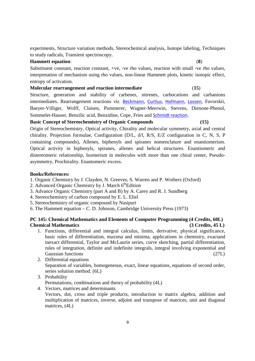experiments, Structure variation methods, Stereochemical analysis, Isotope labeling, Techniques to study radicals, Transient spectroscopy.

# **Hammett equation**: (**8**)

Substituent constant, reaction constant, +ve, -ve rho values, reaction with small -ve rho values, interpretation of mechanism using rho values, non-linear Hammett plots, kinetic isotopic effect, entropy of activation.

# **Molecular rearrangement and reaction intermediate** (**15**)

Structure, generation and stability of carbenes, nitrenes, carbocations and carbanions intermediates. Rearrangement reactions *viz*. Beckmann, Curtius, Hofmann, Lossen, Favorskii, Baeyer-Villiger, Wolff, Claisen, Pummerer, Wagner-Meerwin, Stevens, Dienone-Phenol, Sommelet-Hauser, Benzilic acid, Benzidine, Cope, Fries and Schmidt reaction.

**Basic Concept of Stereochemistry of Organic Compounds (15)** 

Origin of Stereochemistry, Optical activity, Chirality and molecular symmetry, axial and central chirality. Projection formulae, Configuration (D/L, d/l, R/S, E/Z configuration in C, N, S, P containing compounds), Allenes, biphenyls and spiranes nomenclature and enantiomerism. Optical activity in biphenyls, spiranes, allenes and helical structures. Enantiomeric and distereomeric relationship, Isomerism in molecules with more than one chiral center, Pseudoasymmetry, Prochirality. Enantomeric excess.

# **Books/References:**

- 1. Organic Chemistry by J. Clayden, N. Greeves, S. Warren and P. Wothers (Oxford)
- 2. Advanced Organic Chemistry by J. March  $6<sup>th</sup>$ Edition
- 3. Advance Organic Chemistry (part A and B) by A. Carey and R. J. Sundberg
- 4. Stereochemistry of carbon compound by E. L. Eliel
- 5. Stereochemistry of organic compound by Nasipuri
- 6. The Hammett equation C. D. Johnson, Cambridge University Press (1973)

# **PC 145: Chemical Mathematics and Elements of Computer Programming (4 Credits, 60L) Chemical Mathematics (3 Credits, 45 L)**

- 1. Functions, differential and integral calculus, limits, derivative, physical significance, basic rules of differentiation, maxima and minima, applications in chemistry, exactand inexact differential, Taylor and McLaurin series, curve sketching, partial differentiation, rules of integration, definite and indefinite integrals, integral involving exponential and Gaussian functions (27L)
- 2. Differential equations Separation of variables, homogeneous, exact, linear equations, equations of second order, series solution method. (6L)
- 3. Probability

Permutations, combinations and theory of probability (4L)

4. Vectors, matrices and determinants

Vectors, dot, cross and triple products, introduction to matrix algebra, addition and multiplication of matrices, inverse, adjoint and transpose of matrices, unit and diagonal matrices, (4L)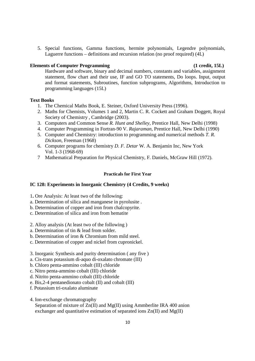5. Special functions, Gamma functions, hermite polynomials, Legendre polynomials, Laguerre functions – definitions and recursion relation (no proof required) (4L)

# **Elements of Computer Programming (1 credit, 15L)**

Hardware and software, binary and decimal numbers, constants and variables, assignment statement, flow chart and their use, IF and GO TO statements, Do loops. Input, output and format statements, Subroutines, function subprograms, Algorithms, Introduction to programming languages (15L)

# **Text Books**

- 1. The Chemical Maths Book, E. Steiner, Oxford University Press (1996).
- 2. Maths for Chemists, Volumes 1 and 2, Martin C. R. Cockett and Graham Doggett, Royal Society of Chemistry , Cambridge (2003).
- 3. Computers and Common Sense *R. Hunt and Shelley*, Prentice Hall, New Delhi (1998)
- 4. Computer Programming in Fortran-90 V. *Rajaraman*, Prentice Hall, New Delhi (1990)
- 5. Computer and Chemistry: introduction to programming and numerical methods *T. R. Dickson*, Freeman (1968)
- 6. Computer programs for chemistry *D. F. Detar* W. A. Benjamin Inc, New York Vol. 1-3 (1968-69)
- 7 Mathematical Preparation for Physical Chemistry, F. Daniels, McGraw Hill (1972).

### **Practicals for First Year**

### **IC 128: Experiments in Inorganic Chemistry (4 Credits, 9 weeks)**

- 1**.** Ore Analysis: At least two of the following:
- a. Determination of silica and manganese in pyrolusite .
- b. Determination of copper and iron from chalcopyrite.
- c. Determination of silica and iron from hematite
- 2. Alloy analysis (At least two of the following )
- a. Determination of tin & lead from solder.
- b. Determination of iron & Chromium from mild steel.
- c. Determination of copper and nickel from cupronickel.
- 3. Inorganic Synthesis and purity determination ( any five )
- a. Cis-trans potassium di-aquo di-oxalato chromate (III)
- b. Chloro penta-ammino cobalt (III) chloride
- c. Nitro penta-ammino cobalt (III) chloride
- d. Nitrito penta-ammino cobalt (III) chloride
- e. Bis,2-4 pentanedionato cobalt (II) and cobalt (III)
- f. Potassium tri-oxalato aluminate
- 4. Ion-exchange chromatography Separation of mixture of Zn(II) and Mg(II) using Ammberlite IRA 400 anion
	- exchanger and quantitative estimation of separated ions  $Zn(II)$  and  $Mg(II)$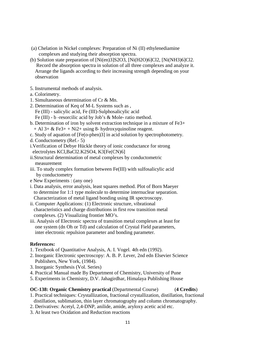- (a) Chelation in Nickel complexes: Preparation of Ni (II) ethylenediamine complexes and studying their absorption spectra.
- (b) Solution state preparation of [Ni(en)3]S2O3, [Ni(H2O)6]Cl2, [Ni(NH3)6]Cl2. Record the absorption spectra in solution of all three complexes and analyze it. Arrange the ligands according to their increasing strength depending on your observation
- 5. Instrumental methods of analysis.
- a. Colorimetry.
- 1. Simultaneous determination of Cr & Mn.
- 2. Determination of Keq of M-L Systems such as , Fe (III) - salicylic acid, Fe (III)-Sulphosalicylic acid
	-
	- Fe (III) b -resorcilic acid by Job's & Mole- ratio method.
- b. Determination of iron by solvent extraction technique in a mixture of Fe3+  $+$  Al 3+ & Fe3+  $+$  Ni2+ using 8- hydroxyquinoline reagent.
- c. Study of aquation of [Fe(o-phen)3] in acid solution by spectrophotometry.
- d. Conductometry (Ref.- 5)
- i.Verification of Debye Hückle theory of ionic conductance for strong electrolytes KCl,BaCl2.K2SO4, K3[Fe(CN)6]
- ii.Structural determination of metal complexes by conductometric measurement
- iii. To study complex formation between Fe(III) with sulfosalicylic acid by conductometry
- e New Experiments : (any one)
- i. Data analysis, error analysis, least squares method. Plot of Born Maeyer to determine for 1:1 type molecule to determine internuclear separation. Characterization of metal ligand bonding using IR spectroscopy.
- ii. Computer Applications: (1) Electronic structure, vibrational characteristics and charge distributions in first row transition metal complexes. (2) Visualizing frontier MO's.
- iii. Analysis of Electronic spectra of transition metal complexes at least for one system (dn Oh or Td) and calculation of Crystal Field parameters, inter electronic repulsion parameter and bonding parameter.

### **References:**

- 1. Textbook of Quantitative Analysis, A. I. Vogel. 4th edn (1992).
- 2. Inorganic Electronic spectroscopy: A. B. P. Lever, 2nd edn Elsevier Science Publishers, New York, (1984).
- 3. Inorganic Synthesis (Vol. Series)
- 4. Practical Manual made By Department of Chemistry, University of Pune
- 5. Experiments in Chemistry, D.V. Jahagirdhar, Himalaya Publishing House

### **OC-138: Organic Chemistry practical** (Departmental Course) (**4 Credits**)

- 1. Practical techniques: Crystallization, fractional crystallization, distillation, fractional distillation, sublimation, thin layer chromatography and column chromatography.
- 2. Derivatives: Acetyl, 2,4-DNP, anilide, amide, aryloxy acetic acid etc.
- 3. At least two Oxidation and Reduction reactions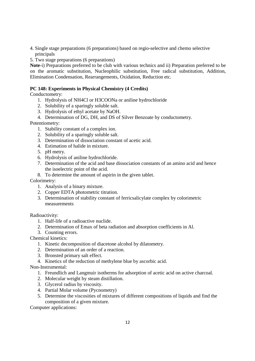- 4. Single stage preparations (6 preparations) based on regio-selective and chemo selective principals
- 5. Two stage preparations (6 preparations)

**Note**-i) Preparations preferred to be club with various technics and ii) Preparation preferred to be on the aromatic substitution, Nucleophilic substitution, Free radical substitution, Addition, Elimination Condensation, Rearrangements, Oxidation, Reduction etc.

# **PC 148: Experiments in Physical Chemistry (4 Credits)**

Conductometry:

- 1. Hydrolysis of NH4Cl or H3COONa or aniline hydrochloride
- 2. Solubility of a sparingly soluble salt.
- 3. Hydrolysis of ethyl acetate by NaOH.
- 4. Determination of DG, DH, and DS of Silver Benzoate by conductometry.

Potentiometry:

- 1. Stability constant of a complex ion.
- 2. Solubility of a sparingly soluble salt.
- 3. Determination of dissociation constant of acetic acid.
- 4. Estimation of halide in mixture.
- 5. pH metry.
- 6. Hydrolysis of aniline hydrochloride.
- 7. Determination of the acid and base dissociation constants of an amino acid and hence the isoelectric point of the acid.
- 8. To determine the amount of aspirin in the given tablet.

Colorimetry:

- 1. Analysis of a binary mixture.
- 2. Copper EDTA photometric titration.
- 3. Determination of stability constant of ferricsalicylate complex by colorimetric measurements

Radioactivity:

- 1. Half-life of a radioactive nuclide.
- 2. Determination of Emax of beta radiation and absorption coefficients in Al.
- 3. Counting errors.

Chemical kinetics:

- 1. Kinetic decomposition of diacetone alcohol by dilatometry.
- 2. Determination of an order of a reaction.
- 3. Bronsted primary salt effect.
- 4. Kinetics of the reduction of methylene blue by ascorbic acid.
- Non-Instrumental:
	- 1. Freundlich and Langmuir isotherms for adsorption of acetic acid on active charcoal.
	- 2. Molecular weight by steam distillation.
	- 3. Glycerol radius by viscosity.
	- 4. Partial Molar volume (Pycnometry)
	- 5. Determine the viscosities of mixtures of different compositions of liquids and find the composition of a given mixture.

Computer applications: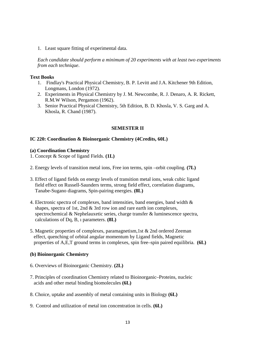1. Least square fitting of experimental data.

*Each candidate should perform a minimum of 20 experiments with at least two experiments from each technique*.

## **Text Books**

- 1. Findlay's Practical Physical Chemistry, B. P. Levitt and J.A. Kitchener 9th Edition, Longmans, London (1972).
- 2. Experiments in Physical Chemistry by J. M. Newcombe, R. J. Denaro, A. R. Rickett, R.M.W Wilson, Pergamon (1962).
- 3. Senior Practical Physical Chemistry, 5th Edition, B. D. Khosla, V. S. Garg and A. Khosla, R. Chand (1987).

# **SEMESTER II**

# **IC 220: Coordination & Bioinorganic Chemistry (4Credits, 60L)**

### **(a) Coordination Chemistry**

- 1. Concept & Scope of ligand Fields. **(1L)**
- 2. Energy levels of transition metal ions, Free ion terms, spin –orbit coupling. **(7L)**
- 3. Effect of ligand fields on energy levels of transition metal ions, weak cubic ligand field effect on Russell-Saunders terms, strong field effect, correlation diagrams, Tanabe-Sugano diagrams, Spin-pairing energies. **(8L)**
- 4. Electronic spectra of complexes, band intensities, band energies, band width & shapes, spectra of 1st, 2nd & 3rd row ion and rare earth ion complexes, spectrochemical & Nephelauxetic series, charge transfer & luminescence spectra, calculations of Dq, B, ı parameters. **(8L)**
- 5. Magnetic properties of complexes, paramagnetism,1st & 2nd ordered Zeeman effect, quenching of orbital angular momentum by Ligand fields, Magnetic properties of A,E,T ground terms in complexes, spin free–spin paired equilibria. **(6L)**

# **(b) Bioinorganic Chemistry**

- 6. Overviews of Bioinorganic Chemistry. **(2L)**
- 7. Principles of coordination Chemistry related to Bioinorganic–Proteins, nucleic acids and other metal binding biomolecules **(6L)**
- 8. Choice, uptake and assembly of metal containing units in Biology **(6L)**
- 9. Control and utilization of metal ion concentration in cells. **(6L)**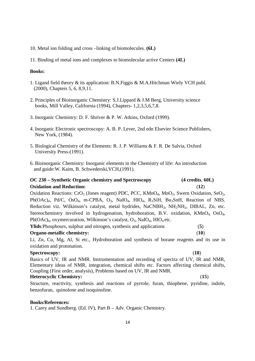10. Metal ion folding and cross –linking of biomolecules. **(6L)**

11. Binding of metal ions and complexes to biomolecular active Centers **(4L)**

## **Books:**

- 1. Ligand field theory & its application: B.N.Figgis & M.A.Hitchman Wiely VCH publ. (2000), Chapters 5, 6, 8,9,11.
- 2. Principles of Bioinorganic Chemistry: S.J.Lippard & J.M Berg, University science books, Mill Valley, California (1994), Chapters- 1,2,3,5,6,7,8.
- 3. Inorganic Chemistry: D. F. Shriver & P. W. Atkins, Oxford (1999).
- 4. Inorganic Electronic spectroscopy: A. B. P. Lever, 2nd edn Elsevier Science Publishers, New York, (1984).
- 5. Biological Chemistry of the Elements: R. J. P. Williams & F. R. De Salvia, Oxford University Press-(1991).
- 6. Bioinorganic Chemistry: Inorganic elements in the Chemistry of life: An introduction and guide:W. Kaim, B. Schwederski,VCH,(1991).

# **OC 230 – Synthetic Organic chemistry and Spectroscopy (4 credits**, **60L) Oxidation and Reduction:** (**12**)

Oxidation Reactions:  $CrO_3$  (Jones reagent) PDC, PCC, KMn $O_4$ , Mn $O_2$ , Swern Oxidation, Se $O_2$ , Pb(OAc)<sub>4</sub>, Pd/C, OsO<sub>4</sub>, m-CPBA, O<sub>3</sub>, NaIO<sub>4</sub>, HIO<sub>4</sub>, R<sub>3</sub>SiH, Bu<sub>3</sub>SnH, Reaction of NBS. Reduction viz. Wilkinson's catalyst, metal hydrides, NaCNBH<sub>3</sub>, NH<sub>2</sub>NH<sub>2</sub>, DIBAL, Zn, etc. Stereochemistry involved in hydrogenation, hydroboration, B.V. oxidation, KMnO<sub>4</sub>, OsO<sub>4</sub>, Pb(OAc)<sub>4</sub>, oxymercuration, Wilkinson's catalyst,  $O_3$ , NaI $O_4$ , HIO<sub>4</sub> etc.

**Ylids**:Phosphours, sulphur and nitrogen, synthesis and applications (**5**) **Organo-metallic chemistry:** (**10**)

Li, Zn, Cu, Mg, Al, Si etc., Hydroboration and synthesis of borane reagents and its use in oxidation and protonation.

# **Spectroscopy:** (**18**)

Basics of UV, IR and NMR. Instrumentation and recording of spectra of UV, IR and NMR, Elementary ideas of NMR, integration, chemical shifts etc. Factors affecting chemical shifts, Coupling (First order, analysis), Problems based on UV, IR and NMR.

# **Heterocyclic Chemistry:** (**15**)

Structure, reactivity, synthesis and reactions of pyrrole, furan, thiophene, pyridine, indole, benzofuran, quinolone and isoquinoline.

## **Books/References:**

1. Carey and Sundberg. (Ed. IV), Part B – Adv. Organic Chemistry.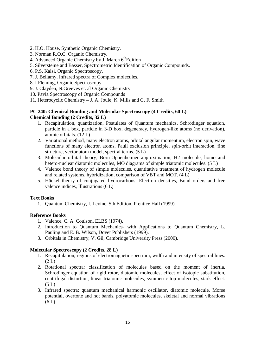- 2. H.O. House, Synthetic Organic Chemistry.
- 3. Norman R.O.C. Organic Chemistry.
- 4. Advanced Organic Chemistry by J. March  $6<sup>th</sup>$ Edition
- 5. Silversteine and Basser, Spectrometric Identification of Organic Compounds.
- 6. P.S. Kalsi, Organic Spectroscopy.
- 7. J. Bellamy, Infrared spectra of Complex molecules.
- 8. I Fleming, Organic Spectroscopy.
- 9. J. Clayden, N.Greeves et. al Organic Chemistry
- 10. Pavia Spectroscopy of Organic Compounds
- 11. Heterocyclic Chemistry J. A. Joule, K. Mills and G. F. Smith

# **PC 240: Chemical Bonding and Molecular Spectroscopy (4 Credits, 60 L) Chemical Bonding (2 Credits, 32 L)**

- 1. Recapitulation, quantization, Postulates of Quantum mechanics, Schrödinger equation, particle in a box, particle in 3-D box, degeneracy, hydrogen-like atoms (no derivation), atomic orbitals. (12 L)
- 2. Variational method, many electron atoms, orbital angular momentum, electron spin, wave functions of many electron atoms, Pauli exclusion principle, spin-orbit interaction, fine structure, vector atom model, spectral terms. (5 L)
- 3. Molecular orbital theory, Born-Oppenheimer approximation, H2 molecule, homo and hetero-nuclear diatomic molecules, MO diagrams of simple triatomic molecules. (5 L)
- 4. Valence bond theory of simple molecules, quantitative treatment of hydrogen molecule and related systems, hybridization, comparison of VBT and MOT. (4 L)
- 5. Hückel theory of conjugated hydrocarbons, Electron densities, Bond orders and free valence indices, Illustrations (6 L)

# **Text Books**

1. Quantum Chemistry, I. Levine, 5th Edition, Prentice Hall (1999).

# **Reference Books**

- 1. Valence, C. A. Coulson, ELBS (1974).
- 2. Introduction to Quantum Mechanics- with Applications to Quantum Chemistry, L. Pauling and E. B. Wilson, Dover Publishers (1999).
- 3. Orbitals in Chemistry, V. Gil, Cambridge University Press (2000).

### **Molecular Spectroscopy (2 Credits, 28 L)**

- 1. Recapitulation, regions of electromagnetic spectrum, width and intensity of spectral lines.  $(2 L)$
- 2. Rotational spectra: classification of molecules based on the moment of inertia, Schrodinger equation of rigid rotor, diatomic molecules, effect of isotopic substitution, centrifugal distortion, linear triatomic molecules, symmetric top molecules, stark effect.  $(5 L)$
- 3. Infrared spectra: quantum mechanical harmonic oscillator, diatomic molecule, Morse potential, overtone and hot bands, polyatomic molecules, skeletal and normal vibrations  $(6 L)$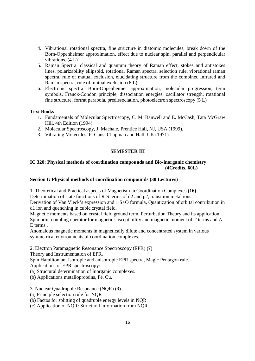- 4. Vibrational rotational spectra, fine structure in diatomic molecules, break down of the Born-Oppenheimer approximation, effect due to nuclear spin, parallel and perpendicular vibrations. (4 L)
- 5. Raman Spectra: classical and quantum theory of Raman effect, stokes and antistokes lines, polarizability ellipsoid, rotational Raman spectra, selection rule, vibrational raman spectra, rule of mutual exclusion, elucidating structure from the combined infrared and Raman spectra, rule of mutual exclusion (6 L)
- 6. Electronic spectra: Born-Oppenheimer approximation, molecular progression, term symbols, Franck-Condon principle, dissociation energies, oscillator strength, rotational fine structure, fortrat parabola, predissociation, photoelectron spectroscopy (5 L)

# **Text Books**

- 1. Fundamentals of Molecular Spectroscopy, C. M. Banwell and E. McCash, Tata McGraw Hill, 4th Edition (1994).
- 2. Molecular Spectroscopy, J. Machale, Prentice Hall, NJ, USA (1999).
- 3. Vibrating Molecules, P. Gans, Chapman and Hall, UK (1971).

# **SEMESTER III**

# **IC 320: Physical methods of coordination compounds and Bio-inorganic chemistry (4Credits, 60L)**

### **Section I: Physical methods of coordination compounds (30 Lectures)**

1. Theoretical and Practical aspects of Magnetism in Coordination Complexes **(16)** Determination of state functions of R-S terms of d2 and p2, transition metal ions.

Derivation of Van Vleck's expression and S+O formula, Quantization of orbital contribution in d1 ion and quenching in cubic crystal field.

Magnetic moments based on crystal field ground term, Perturbation Theory and its application, Spin orbit coupling operator for magnetic susceptibility and magnetic moment of T terms and A, E terms .

Anomalous magnetic moments in magnetically dilute and concentrated system in various symmetrical environments of coordination complexes.

2. Electron Paramagnetic Resonance Spectroscopy (EPR) **(7)**

Theory and Instrumentation of EPR.

Spin Hamiltonian, Isotropic and anisotropic EPR spectra, Magic Pentagon rule.

Applications of EPR spectroscopy:

(a) Structural determination of Inorganic complexes.

(b) Applications metalloproteins, Fe, Cu.

3. Nuclear Quadrupole Resonance (NQR) **(3)**

(a) Principle selection rule for NQR

(b) Factos for splitting of quadruple energy levels in NQR

(c) Application of NQR: Structural information from NQR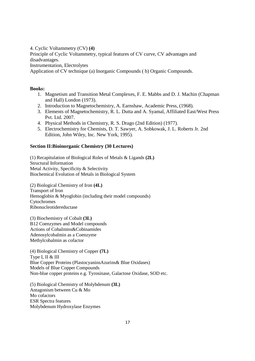4. Cyclic Voltammetry (CV) **(4)** Principle of Cyclic Voltammetry, typical features of CV curve, CV advantages and disadvantages. Instrumentation, Electrolytes Application of CV technique (a) Inorganic Compounds ( b) Organic Compounds.

# **Books:**

- 1. Magnetism and Transition Metal Complexes, F. E. Mabbs and D. J. Machin (Chapman and Hall) London (1973).
- 2. Introduction to Magnetochemistry, A. Earnshaw, Academic Press, (1968).
- 3. Elements of Magnetochemistry, R. L. Dutta and A. Syamal, Affiliated East/West Press Pvt. Ltd. 2007.
- 4. Physical Methods in Chemistry, R. S. Drago (2nd Edition) (1977).
- 5. Electrochemistry for Chemists, D. T. Sawyer, A. Sobkowak, J. L. Roberts Jr. 2nd Edition, John Wiley, Inc. New York, 1995).

# **Section II:Bioinorganic Chemistry (30 Lectures)**

(1) Recapitulation of Biological Roles of Metals & Ligands **(2L)** Structural Information Metal Activity, Specificity & Selectivity Biochemical Evolution of Metals in Biological System

(2) Biological Chemistry of Iron **(4L)** Transport of Iron Hemoglobin & Myoglobin (including their model compounds) Cytochromes Ribonucleotidereductase

(3) Biochemistry of Cobalt **(3L)** B12 Coenzymes and Model compounds Actions of Cobalmins&Cobinamides Adenosylcobalmin as a Coenzyme Methylcobalmin as cofactor

(4) Biological Chemistry of Copper **(7L)** Type I, II & III Blue Copper Proteins (PlastocyaninsAzurins& Blue Oxidases) Models of Blue Copper Compounds Non-blue copper proteins e.g. Tyrosinase, Galactose Oxidase, SOD etc.

(5) Biological Chemistry of Molybdenum **(3L)** Antagonism between Cu & Mo Mo cofactors ESR Spectra features Molybdenum Hydroxylase Enzymes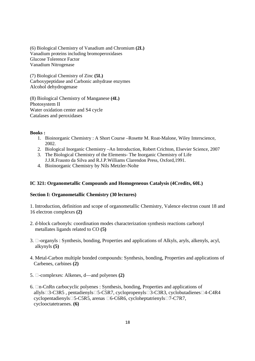(6) Biological Chemistry of Vanadium and Chromium **(2L)** Vanadium proteins including bromoperoxidases Glucose Tolerence Factor Vanadium Nitrogenase

(7) Biological Chemistry of Zinc **(5L)** Carboxypeptidase and Carbonic anhydrase enzymes Alcohol dehydrogenase

(8) Biological Chemistry of Manganese **(4L)** Photosystem II Water oxidation center and S4 cycle Catalases and peroxidases

# **Books :**

- 1. Bioinorganic Chemistry : A Short Course –Rosette M. Roat-Malone, Wiley Interscience, 2002.
- 2. Biological Inorganic Chemistry –An Introduction, Robert Crichton, Elsevier Science, 2007
- 3. The Biological Chemistry of the Elements- The Inorganic Chemistry of Life J.J.R.Frausto da Silva and R.J.P.Williams Clarendon Press, Oxford,1991.
- 4. Bioinorganic Chemistry by Nils Metzler-Nolte

# **IC 321: Organometallic Compounds and Homogeneous Catalysis (4Credits, 60L)**

### **Section I: Organometallic Chemistry (30 lectures)**

1. Introduction, definition and scope of organometallic Chemistry, Valence electron count 18 and 16 electron complexes **(2)**

- 2. d-block carbonyls: coordination modes characterization synthesis reactions carbonyl metallates ligands related to CO **(5)**
- 3. -organyls : Synthesis, bonding, Properties and applications of Alkyls, aryls, alkenyls, acyl, alkynyls **(5)**
- 4. Metal-Carbon multiple bonded compounds: Synthesis, bonding, Properties and applications of Carbenes, carbines **(2)**
- 5. -complexes: Alkenes, d—and polyenes **(2)**
- 6. n-CnRn carbocyclic polyenes : Synthesis, bonding, Properties and applications of allyls 3-C3R5, pentadienyls 5-C5R7, cyclopropenyls 3-C3R3, cyclobutadienes 4-C4R4 cyclopentadienyls 5-C5R5, arenas 6-C6R6, cycloheptatrienyls 7-C7R7, cyclooctatetraenes. **(6)**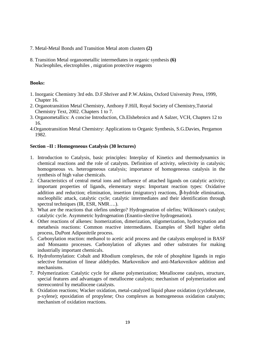- 7. Metal-Metal Bonds and Transition Metal atom clusters **(2)**
- 8. Transition Metal organometallic intermediates in organic synthesis **(6)** Nucleophiles, electrophiles , migration protective reagents

### **Books:**

- 1. Inorganic Chemistry 3rd edn. D.F.Shriver and P.W.Atkins, Oxford University Press, 1999, Chapter 16.
- 2. Organotransition Metal Chemistry, Anthony F.Hill, Royal Society of Chemistry,Tutorial Chemistry Text, 2002. Chapters 1 to 7.
- 3. Organometallics: A concise Introduction, Ch.Elshebroicn and A Salzer, VCH, Chapters 12 to 16.
- 4.Organotransition Metal Chemistry: Applications to Organic Synthesis, S.G.Davies, Pergamon 1982.

### **Section –II : Homogeneous Catalysis (30 lectures)**

- 1. Introduction to Catalysis, basic principles: Interplay of Kinetics and thermodynamics in chemical reactions and the role of catalysts. Definition of activity, selectivity in catalysis; homogeneous vs. heterogeneous catalysis; importance of homogeneous catalysis in the synthesis of high value chemicals.
- 2. Characteristics of central metal ions and influence of attached ligands on catalytic activity; important properties of ligands, elementary steps: Important reaction types: Oxidative addition and reduction; elimination, insertion (migratory) reactions, β-hydride elimination, nucleophilic attack, catalytic cycle; catalytic intermediates and their identification through spectral techniques (IR, ESR, NMR….).
- 3. What are the reactions that olefins undergo? Hydrogenation of olefins; Wilkinson's catalyst; catalytic cycle. Asymmetric hydrogenation (Enantio-slective hydrogenation).
- 4. Other reactions of alkenes: Isomerization, dimerization, oligomerization, hydrocynation and metathesis reactions: Common reactive intermediates. Examples of Shell higher olefin process, DuPont Adiponitrile process.
- 5. Carbonylation reaction: methanol to acetic acid process and the catalysts employed in BASF and Monsanto processes. Carbonylation of alkynes and other substrates for making industrially important chemicals.
- 6. Hydroformylation: Cobalt and Rhodium complexes, the role of phosphine ligands in regio selective formation of linear aldehydes. Markovnikov and anti-Markovnikov addition and mechanisms.
- 7. Polymerization: Catalytic cycle for alkene polymerization; Metallocene catalysts, structure, special features and advantages of metallocene catalysts; mechanism of polymerization and stereocontrol by metallocene catalysts.
- 8. Oxidation reactions; Wacker oxidation, metal-catalyzed liquid phase oxidation (cyclohexane, p-xylene); epoxidation of propylene; Oxo complexes as homogeneous oxidation catalysts; mechanism of oxidation reactions.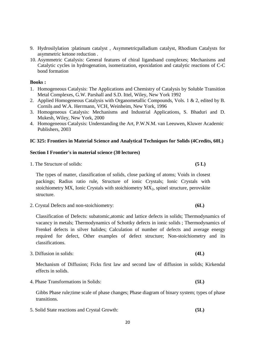- 9. Hydrosilylation :platinum catalyst , Asymmetricpalladium catalyst, Rhodium Catalysts for asymmetric ketone reduction .
- 10. Asymmetric Catalysis: General features of chiral ligandsand complexes; Mechanisms and Catalytic cycles in hydrogenation, isomerization, epoxidation and catalytic reactions of C-C bond formation

# **Books :**

- 1. Homogeneous Catalysis: The Applications and Chemistry of Catalysis by Soluble Transition Metal Complexes, G.W. Parshall and S.D. Ittel, Wiley, New York 1992
- 2. Applied Homogeneous Catalysis with Organometallic Compounds, Vols. 1 & 2, edited by B. Cornils and W.A. Herrmann, VCH, Weinheim, New York, 1996
- 3. Homogeneous Catalysis: Mechanisms and Industrial Applications, S. Bhaduri and D. Mukesh, Wiley, New York, 2000
- 4. Homogeneous Catalysis: Understanding the Art, P.W.N.M. van Leeuwen, Kluwer Academic Publishers, 2003

# **IC 325: Frontiers in Material Science and Analytical Techniques for Solids (4Credits, 60L)**

# **Section I Frontier's in material science (30 lectures)**

1. The Structure of solids: **(5 L)** 

The types of matter, classification of solids, close packing of atoms; Voids in closest packings; Radius ratio rule, Structure of ionic Crystals; Ionic Crystals with stoichiometry MX, Ionic Crystals with stoichiometry  $MX<sub>2</sub>$ , spinel structure, perovskite structure.

2. Crystal Defects and non-stoichiometry: **(6L)**

Classification of Defects: subatomic,atomic and lattice defects in solids; Thermodynamics of vacancy in metals; Thermodynamics of Schottky defects in ionic solids ; Thermodynamics of Frenkel defects in silver halides; Calculation of number of defects and average energy required for defect, Other examples of defect structure; Non-stoichiometry and its classifications.

3. Diffusion in solids: **(4L)**

Mechanism of Diffusion; Ficks first law and second law of diffusion in solids; Kirkendal effects in solids.

4. Phase Transformations in Solids: **(5L)**

Gibbs Phase rule;time scale of phase changes; Phase diagram of binary system; types of phase transitions.

5. Solid State reactions and Crystal Growth: **(5L)**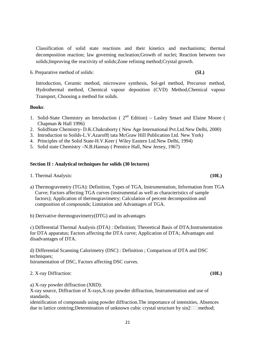Classification of solid state reactions and their kinetics and mechanisms; thermal decomposition reaction; law governing nucleation;Growth of nuclei; Reaction between two solids;Improving the reactivity of solids;Zone refining method;Crystal growth.

6. Preparative method of solids: **(5L)**

Introduction, Ceramic method, microwave synthesis, Sol-gel method, Precursor method, Hydrothermal method, Chemical vapour deposition (CVD) Method,Chemical vapour Transport, Choosing a method for solids.

### **Books**:

- 1. Solid-State Chemistry an Introduction ( $2<sup>nd</sup>$  Edition) Lasley Smart and Elaine Moore ( Chapman & Hall 1996)
- 2. SolidState Chemistry- D.K.Chakraborty ( New Age International Pvt.Ltd.New Delhi, 2000)
- 3. Introduction to Soilds-L.V.Azaroff( tata McGraw Hill Publication Ltd. New York)
- 4. Principles of the Solid State-H.V.Keer ( Wiley Eastern Ltd.New Delhi, 1994)
- 5. Solid state Chemistry –N.B.Hannay ( Prentice Hall, New Jersey, 1967)

# **Section II : Analytical techniques for solids (30 lectures)**

1. Thermal Analysis: **(10L)**

- a) Thermogravmetry (TGA): Definition, Types of TGA, Instrumentation, Information from TGA Curve; Factors affecting TGA curves (instrumental as well as characteristics of sample factors); Application of thermogravimetry; Calculation of percent decomposition and composition of compounds; Limitation and Advantages of TGA.
- b) Derivative thermogravimetry(DTG) and its advantages

c) Differential Thermal Analysis (DTA) : Definition; Theoretical Basis of DTA;Instrumentation for DTA apparatus; Factors affecting the DTA curve; Application of DTA; Advantages and disadvantages of DTA.

d) Differential Scanning Calorimetry (DSC) : Definition ; Comparison of DTA and DSC techniques: Istrumentation of DSC, Factors affecting DSC curves.

2. X-ray Diffraction: **(10L)**

a) X-ray powder diffraction (XRD):

X-ray source, Diffraction of X-rays,X-ray powder diffraction, Instrumentation and use of standards,

identification of compounds using powder diffraction.The importance of intensities, Absences due to lattice centring;Determination of unknown cubic crystal structure by  $sin2$  method;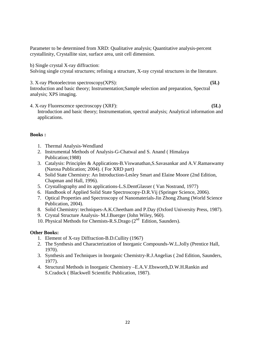Parameter to be determined from XRD: Qualitative analysis; Quantitative analysis-percent crystallinity, Crystallite size, surface area, unit cell dimension.

b) Single crystal X-ray diffraction:

Solving single crystal structures; refining a structure, X-ray crystal structures in the literature.

3. X-ray Photoelectron spectroscopy(XPS): **(5L)** Introduction and basic theory; Instrumentation;Sample selection and preparation, Spectral analysis; XPS imaging.

4. X-ray Fluorescence spectroscopy (XRF): **(5L)** Introduction and basic theory; Instrumentation, spectral analysis; Analytical information and applications.

# **Books :**

- 1. Thermal Analysis-Wendland
- 2. Instrumental Methods of Analysis-G-Chatwal and S. Anand ( Himalaya Publication;1988)
- 3. Catalysis: Principles & Applications-B.Viswanathan,S.Savasankar and A.V.Ramaswamy (Narosa Publication; 2004). ( For XRD part)
- 4. Solid State Chemistry: An Introduction-Lesley Smart and Elaine Moore (2nd Edition, Chapman and Hall, 1996).
- 5. Crystallography and its applications-L.S.DentGlasser ( Van Nostrand, 1977)
- 6. Handbook of Applied Solid State Spectroscopy-D.R.Vij (Springer Science, 2006).
- 7. Optical Properties and Spectroscopy of Nanomaterials-Jin Zhong Zhang (World Science Publication, 2004).
- 8. Solid Chemistry: techniques-A.K.Cheetham and P.Day (Oxford University Press, 1987).
- 9. Crystal Structure Analysis- M.J.Buerger (John Wiley, 960).
- 10. Physical Methods for Chemists-R.S.Drago (2nd Edition, Saunders).

# **Other Books:**

- 1. Element of X-ray Diffraction-B.D.Cullity (1967)
- 2. The Synthesis and Characterization of Inorganic Compounds-W.L.Jolly (Prentice Hall, 1970).
- 3. Synthesis and Techniques in Inorganic Chemistry-R.J.Angelias ( 2nd Edition, Saunders, 1977).
- 4. Structural Methods in Inorganic Chemistry –E.A.V.Ebsworth,D.W.H.Rankin and S.Cradock ( Blackwell Scientific Publication, 1987).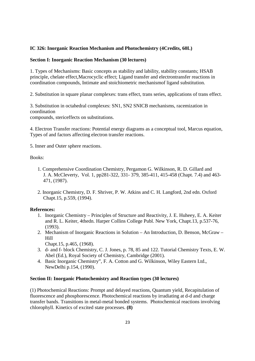# **IC 326: Inorganic Reaction Mechanism and Photochemistry (4Credits, 60L)**

# **Section I: Inorganic Reaction Mechanism (30 lectures)**

1. Types of Mechanisms: Basic concepts as stability and lability, stability constants; HSAB principle, chelate effect,Macrocyclic effect; Ligand transfer and electrontransfer reactions in coordination compounds, Intimate and stoichiometric mechanismof ligand substitution.

2. Substitution in square planar complexes: trans effect, trans series, applications of trans effect.

3. Substitution in octahedral complexes: SN1, SN2 SNICB mechanisms, racemization in coordination compounds, stericeffects on substitutions.

4. Electron Transfer reactions: Potential energy diagrams as a conceptual tool, Marcus equation, Types of and factors affecting electron transfer reactions.

5. Inner and Outer sphere reactions.

Books:

- 1. Comprehensive Coordination Chemistry, Pergamon G. Wilkinson, R. D. Gillard and J. A. McCleverty, Vol. 1, pp281-322, 331- 379, 385-411, 415-458 (Chapt. 7.4) and 463- 471, (1987).
- 2. Inorganic Chemistry, D. F. Shriver, P. W. Atkins and C. H. Langford, 2nd edn. Oxford Chapt.15, p.559, (1994).

### **References:**

- 1. Inorganic Chemistry Principles of Structure and Reactivity, J. E. Huheey, E. A. Keiter and R. L. Keiter, 4thedn. Harper Collins College Publ. New York, Chapt.13, p.537-76, (1993).
- 2. Mechanism of Inorganic Reactions in Solution An Introduction, D. Benson, McGraw Hill

Chapt.15, p.465, (1968).

- 3. d- and f- block Chemistry, C. J. Jones, p. 78, 85 and 122. Tutorial Chemistry Texts, E. W. Abel (Ed.), Royal Society of Chemistry, Cambridge (2001).
- 4. Basic Inorganic Chemistry", F. A. Cotton and G. Wilkinson, Wiley Eastern Ltd., NewDelhi p.154, (1990).

### **Section II: Inorganic Photochemistry and Reaction types (30 lectures)**

(1) Photochemical Reactions: Prompt and delayed reactions, Quantum yield, Recapitulation of fluorescence and phosphorescence. Photochemical reactions by irradiating at d-d and charge transfer bands. Transitions in metal-metal bonded systems. Photochemical reactions involving chlorophyll. Kinetics of excited state processes. **(8)**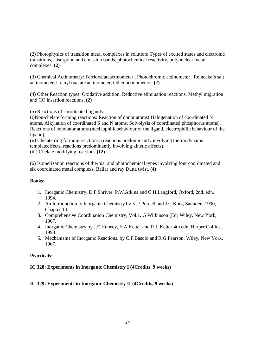(2) Photophysics of transition metal complexes in solution: Types of excited states and electronic transitions, absorption and emission bands, photochemical reactivity, polynuclear metal complexes. **(2)**

(3) Chemical Actinometry: Ferrioxalateactinometer , Photochromic actinometer , Reinecke's salt actinometer, Uranyl oxalate actinometer, Other actinometers. **(2)**

(4) Other Reaction types: Oxidative addition, Reductive elimination reactions, Methyl migration and CO insertion reactions. **(2)**

(5) Reactions of coordinated ligands:

(i)Non-chelate forming reactions: Reaction of donor atoms( Halogenation of coordinated N atoms, Alkylation of coordinated S and N atoms, Solvolysis of coordinated phosphorus atoms). Reactions of nondonor atoms (nucleophilicbehaviour of the ligand, electrophilic bahaviour of the ligand).

(ii) Chelate ring forming reactions: (reactions predominantly involving thermodynamic templateeffects, reactions predominantly involving kinetic affects). (iii) Chelate modifying reactions **(12)**

(6) Isomerization reactions of thermal and photochemical types involving four coordinated and six coordinated metal complexs. Bailar and ray Dutta twist. **(4)**

### **Books:**

- 1. Inorganic Chemistry, D.F.Shriver, P.W.Atkins and C.H.Langford, Oxford, 2nd. edn. 1994.
- 2. An Introduction to Inorganic Chemistry by K.F.Purcell and J.C.Kotz, Saunders 1990, Chapter 14.
- 3. Comprehensive Coordination Chemistry, Vol.1. G Wilkinson (Ed) Wiley, New York, 1967.
- 4. Inorganic Chemistry by J.E.Huheey, E.A.Keiter and R.L.Keiter 4th edn. Harper Collins, 1993
- 5. Mechanisms of Inorganic Reactions, by C.F.Basolo and R.G.Pearson, Wiley, New York, 1967.

## **Practicals:**

# **IC 328: Experiments in Inorganic Chemistry I (4Credits, 9 weeks)**

# **IC 329: Experiments in Inorganic Chemistry II (4Credits, 9 weeks)**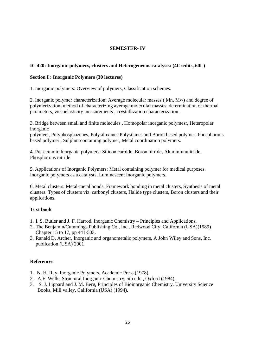# **SEMESTER- IV**

# **IC 420: Inorganic polymers, clusters and Heterogeneous catalysis: (4Credits, 60L)**

# **Section I : Inorganic Polymers (30 lectures)**

1. Inorganic polymers: Overview of polymers, Classification schemes.

2. Inorganic polymer characterization: Average molecular masses ( Mn, Mw) and degree of polymerization, method of characterizing average molecular masses, determination of thermal parameters, viscoelasticity measurements , crystallization characterization.

3. Bridge between small and finite molecules , Homopolar inorganic polymesr, Heteropolar inorganic

polymers, Polyphosphazenes, Polysiloxanes,Polysilanes and Boron based polymer, Phosphorous based polymer , Sulphur containing polymer, Metal coordination polymers.

4. Pre-ceramic Inorganic polymers: Silicon carbide, Boron nitride, Aluminiumnitride, Phosphorous nitride.

5. Applications of Inorganic Polymers: Metal containing polymer for medical purposes, Inorganic polymers as a catalysts, Luminescent Inorganic polymers.

6. Metal clusters: Metal-metal bonds, Framework bonding in metal clusters, Synthesis of metal clusters. Types of clusters viz. carbonyl clusters, Halide type clusters, Boron clusters and their applications.

# **Text book**

- 1. I. S. Butler and J. F. Harrod, Inorganic Chemistry Principles and Applications,
- 2. The Benjamin/Cummings Publishing Co., Inc., Redwood City, California (USA)(1989) Chapter 15 to 17, pp 441-503.
- 3. Ranald D. Archer, Inorganic and organometalic polymers, A John Wiley and Sons, Inc. publication (USA) 2001

### **References**

- 1. N. H. Ray, Inorganic Polymers, Academic Press (1978).
- 2. A.F. Wells, Structural Inorganic Chemistry, 5th edn., Oxford (1984).
- 3. S. J. Lippard and J. M. Berg, Principles of Bioinorganic Chemistry, University Science Books, Mill valley, California (USA) (1994).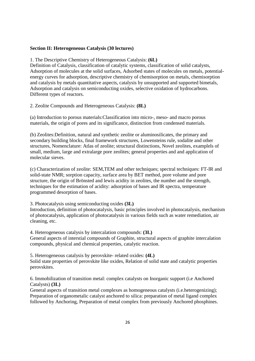### **Section II: Heterogeneous Catalysis (30 lectures)**

1. The Descriptive Chemistry of Heterogeneous Catalysis: **(6L)**

Definition of Catalysis, classification of catalytic systems, classification of solid catalysts, Adsorption of molecules at the solid surfaces, Adsorbed states of molecules on metals, potentialenergy curves for adsorption, descriptive chemistry of chemisorption on metals, chemisorption and catalysis by metals quantitative aspects, catalysis by unsupported and supported bimetals, Adsorption and catalysis on semiconducting oxides, selective oxidation of hydrocarbons. Different types of reactors.

2. Zeolite Compounds and Heterogeneous Catalysis: **(8L)**

(a) Introduction to porous materials:Classification into micro-, meso- and macro porous materials, the origin of pores and its significance, distinction from condensed materials.

(b) Zeolites:Definition, natural and synthetic zeolite or aluminosilicates, the primary and secondary building blocks, final framework structures, Lowensteins rule, sodalite and other structures, Nomenclature: Atlas of zeolite; structural distinctions, Novel zeolites, examplels of small, medium, large and extralarge pore zeolites; general properties and and application of molecular sieves.

(c) Characterization of zeolite: SEM,TEM and other techniques; spectral techniques: FT-IR and solid-state NMR; sorption capacity, surface area by BET method, pore volume and pore structure, the origin of Brönsted and lewis acidity in zeolites, the number and the strength, techniques for the estimation of acidity: adsorption of bases and IR spectra, temperature programmed desorption of bases.

3. Photocatalysis using semiconducting oxides **(3L)**

Introduction, definition of photocatalysis, basic principles involved in photocatalysis, mechanism of photocatalysis, application of photocatalysis in various fields such as water remediation, air cleaning, etc.

4. Heterogeneous catalysis by intercalation compounds: **(3L)**

General aspects of interstial compounds of Graphite, structural aspects of graphite intercalation compounds, physical and chemical properties, catalytic reaction.

5. Heterogeneous catalysis by perovskite- related oxides: **(4L)** Solid state properties of perovskite like oxides, Relation of solid state and catalytic properties perovskites.

6. Immobilization of transition metal: complex catalysts on Inorganic support (i.e Anchored Catalysts) **(3L)**

General aspects of transition metal complexes as homogeneous catalysts (i.e.heterogenizing); Preparation of organometalic catalyst anchored to silica: preparation of metal ligand complex followed by Anchoring, Preparation of metal complex from previously Anchored phosphines.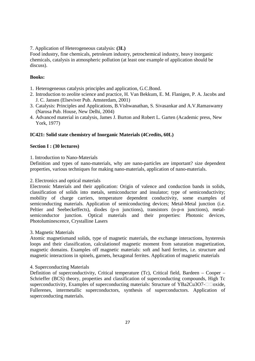# 7. Application of Heterogeneous catalysis: **(3L)**

Food industry, fine chemicals, petroleum industry, petrochemical industry, heavy inorganic chemicals, catalysis in atmospheric pollution (at least one example of application should be discuss).

# **Books:**

- 1. Heterogeneous catalysis principles and application, G.C.Bond.
- 2. Introduction to zeolite science and practice, H. Van Bekkum, E. M. Flanigen, P. A. Jacobs and J. C. Jansen (Elseviver Pub. Amsterdam, 2001)
- 3. Catalysis: Principles and Applications, B.Vishwanathan, S. Sivasankar and A.V.Ramaswamy (Narosa Pub. House, New Delhi, 2004)
- 4. Advanced material in catalysis, James J. Burton and Robert L. Garten (Academic press, New York, 1977)

# **IC421: Solid state chemistry of Inorganic Materials (4Credits, 60L)**

# **Section I : (30 lectures)**

1. Introduction to Nano-Materials

Definition and types of nano-materials, why are nano-particles are important? size dependent properties, various techniques for making nano-materials, application of nano-materials.

## 2. Electronics and optical materials

Electronic Materials and their application: Origin of valence and conduction bands in solids, classification of solids into metals, semiconductor and insulator; type of semiconductivity; mobility of charge carriers, temperature dependent conductivity, some examples of semiconducting materials. Application of semiconducting devices; Metal-Metal junction (i.e. Peltier and Seebeckeffects), diodes (p-n junctions), transistors (n-p-n junctions), metalsemiconductor junction. Optical materials and their properties: Photonic devices, Photoluminescence, Crystalline Lasers

### 3. Magnetic Materials

Atomic magnetismand solids, type of magnetic materials, the exchange interactions, hysteresis loops and their classification, calculationof magnetic moment from saturation magnetization, magnetic domains. Examples off magnetic materials: soft and hard ferrites, i.e. structure and magnetic interactions in spinels, garnets, hexagonal ferrites. Application of magnetic materials

### 4. Superconducting Materials

Definition of superconductivity, Critical temperature (Tc), Critical field, Bardeen – Cooper – Schrieffer (BCS) theory, properties and classification of superconducting compounds, High Tc superconductivity, Examples of superconducting materials: Structure of YBa2Cu3O7- oxide, Fullerenes, intermetallic superconductors, synthesis of superconductors. Application of superconducting materials.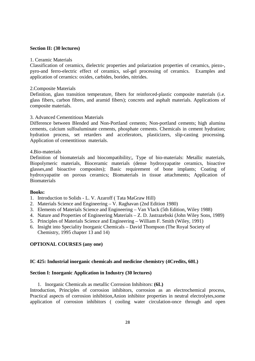### **Section II: (30 lectures)**

### 1. Ceramic Materials

Classification of ceramics, dielectric properties and polarization properties of ceramics, piezo-, pyro-and ferro-electric effect of ceramics, sol-gel processing of ceramics. Examples and application of ceramics: oxides, carbides, borides, nitrides.

### 2.Composite Materials

Definition, glass transition temperature, fibers for reinforced-plastic composite materials (i.e. glass fibers, carbon fibres, and aramid fibers); concrets and asphalt materials. Applications of composite materials.

### 3. Advanced Cementitious Materials

Difference between Blended and Non-Portland cements; Non-portland cements; high alumina cements, calcium sulfoaluminate cements, phosphate cements. Chemicals in cement hydration; hydration process, set retarders and accelerators, plasticizers, slip-casting processing. Application of cementitious materials.

### 4.Bio-materials

Definition of biomaterials and biocompatibility;, Type of bio-materials: Metallic materials, Biopolymeric materials, Bioceramic materials (dense hydroxyapatite ceramics, bioactive glasses,and bioactive composites); Basic requirement of bone implants; Coating of hydroxyapatite on porous ceramics; Biomaterials in tissue attachments; Application of **Biomaterials** 

### **Books:**

- 1. Introduction to Solids L. V. Azaroff ( Tata MaGraw Hill)
- 2. Materials Science and Engineering V. Raghavan (2nd Edition 1980)
- 3. Elements of Materials Science and Engineering Van Vlack (5th Edition, Wiley 1988)
- 4. Nature and Properties of Engineering Materials Z. D. Jastrazebski (John Wiley Sons, 1989)
- 5. Principles of Materials Science and Engineering William F. Smith (Wiley, 1991)
- 6. Insight into Speciality Inorganic Chemicals David Thompson (The Royal Society of Chemistry, 1995 chapter 13 and 14)

### **OPTIONAL COURSES (any one)**

### **IC 425: Industrial inorganic chemicals and medicine chemistry (4Credits, 60L)**

### **Section I: Inorganic Application in Industry (30 lectures)**

1. Inorganic Chemicals as metallic Corrosion Inhibitors: **(6L)**

Introduction, Principles of corrosion inhibitors, corrosion as an electrochemical process, Practical aspects of corrosion inhibition,Anion inhibitor properties in neutral electrolytes,some application of corrosion inhibitors ( cooling water circulation-once through and open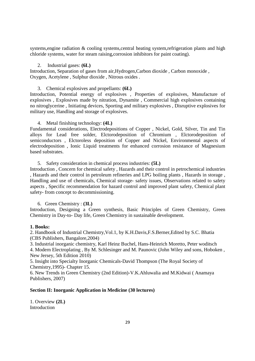systems,engine radiation & cooling systems, central heating system, refrigeration plants and high chloride systems, water for steam raising,corrosion inhibitors for paint coating).

### 2. Industrial gases: **(6L)**

Introduction, Separation of gases from air,Hydrogen,Carbon dioxide , Carbon monoxide , Oxygen, Acetylene , Sulphur dioxide , Nitrous oxides .

### 3. Chemical explosives and propellants: **(6L)**

Introduction, Potential energy of explosives , Properties of explosives, Manufacture of explosives , Explosives made by nitration, Dynamite , Commercial high explosives containing no nitroglycerine , Initiating devices, Sporting and military explosives , Disruptive explosives for military use, Handling and storage of explosives.

### 4. Metal finishing technology: **(4L)**

Fundamental considerations, Electrodepositions of Copper , Nickel, Gold, Silver, Tin and Tin alloys for Lead free solder, Elctorodeposition of Chromium , Elctorodeposition of semiconductors , Elctoroless deposition of Copper and Nickel, Environmental aspects of electrodeposition , Ionic Liquid treatments for enhanced corrosion resistance of Magnesium based substrates.

### 5. Safety consideration in chemical process industries: **(5L)**

Introduction , Concern for chemical safety , Hazards and their control in petrochemical industries , Hazards and their control in petroleum refineries and LPG boiling plants , Hazards in storage , Handling and use of chemicals, Chemical storage- safety issues, Observations related to safety aspects , Specific recommendation for hazard control and improved plant safety, Chemical plant safety- from concept to decommissioning.

## 6. Green Chemistry : **(3L)**

Introduction, Designing a Green synthesis, Basic Principles of Green Chemistry, Green Chemistry in Day-to- Day life, Green Chemistry in sustainable development.

### **1. Books:**

2. Handbook of Industrial Chemistry,Vol.1, by K.H.Davis,F.S.Berner,Edited by S.C. Bhatia (CBS Publishers, Bangalore,2004)

3. Industrial inorganic chemistry, Karl Heinz Buchel, Hans-Heinrich Moretto, Peter woditsch

4. Modern Electroplating , By M. Schlesinger and M. Paunovic (John Wiley and sons, Hoboken , New Jersey, 5th Edition 2010)

5. Insight into Specialty Inorganic Chemicals-David Thompson (The Royal Society of Chemistry,1995)- Chapter 15.

6. New Trends in Green Chemistry (2nd Edition)-V.K.Ahluwalia and M.Kidwai ( Anamaya Publishers, 2007)

### **Section II: Inorganic Application in Medicine (30 lectures)**

1. Overview **(2L)** Introduction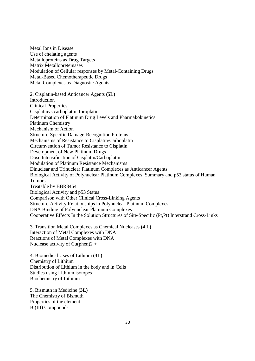Metal Ions in Disease Use of chelating agents Metalloproteins as Drug Targets Matrix Metallopreteinases Modulation of Cellular responses by Metal-Containing Drugs Metal-Based Chemotherapeutic Drugs Metal Complexes as Diagnostic Agents

2. Cisplatin-based Anticancer Agents **(5L)** Introduction Clinical Properties Cisplatinvs carboplatin, Iproplatin Determination of Platinum Drug Levels and Pharmakokinetics Platinum Chemistry Mechanism of Action Structure-Specific Damage-Recognition Proteins Mechanisms of Resistance to Cisplatin/Carboplatin Circumvention of Tumor Resistance to Cisplatin Development of New Platinum Drugs Dose Intensification of Cisplatin/Carboplatin Modulation of Platinum Resistance Mechanisms Dinuclear and Trinuclear Platinum Complexes as Anticancer Agents Biological Activity of Polynuclear Platinum Complexes. Summary and p53 status of Human Tumors Treatable by BBR3464 Biological Activity and p53 Status Comparison with Other Clinical Cross-Linking Agents Structure-Activity Relationships in Polynuclear Platinum Complexes DNA Binding of Polynuclear Platinum Complexes Cooperative Effects In the Solution Structures of Site-Specific (Pt,Pt) Interstrand Cross-Links

3. Transition Metal Complexes as Chemical Nucleases **(4 L)** Interaction of Metal Complexes with DNA Reactions of Metal Complexes with DNA Nuclease activity of  $Cu(phen)2 +$ 

4. Biomedical Uses of Lithium **(3L)** Chemistry of Lithium Distribution of Lithium in the body and in Cells Studies using Lithium isotopes Biochemistry of Lithium

5. Bismuth in Medicine **(3L)** The Chemistry of Bismuth Properties of the element Bi(III) Compounds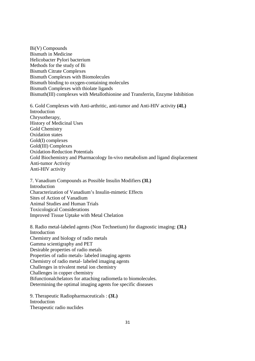Bi(V) Compounds Bismuth in Medicine Helicobacter Pylori bacterium Methods for the study of Bi Bismuth Citrate Complexes Bismuth Complexes with Biomolecules Bismuth binding to oxygen-containing molecules Bismuth Complexes with thiolate ligands Bismuth(III) complexes with Metallothionine and Transferrin, Enzyme Inhibition

6. Gold Complexes with Anti-arthritic, anti-tumor and Anti-HIV activity **(4L)** Introduction Chrysotherapy, History of Medicinal Uses Gold Chemistry Oxidation states Gold(I) complexes Gold(III) Complexes Oxidation-Reduction Potentials Gold Biochemistry and Pharmacology In-vivo metabolism and ligand displacement Anti-tumor Activity Anti-HIV activity

7. Vanadium Compounds as Possible Insulin Modifiers **(3L)** Introduction Characterization of Vanadium's Insulin-mimetic Effects Sites of Action of Vanadium Animal Studies and Human Trials Toxicological Considerations Improved Tissue Uptake with Metal Chelation

8. Radio metal-labeled agents (Non Technetium) for diagnostic imaging: **(3L)** Introduction Chemistry and biology of radio metals Gamma scientigraphy and PET Desirable properties of radio metals Properties of radio metals- labeled imaging agents Chemistry of radio metal- labeled imaging agents Challenges in trivalent metal ion chemistry Challenges in copper chemistry Bifunctionalchelators for attaching radiometla to biomolecules. Determining the optimal imaging agents foe specific diseases

9. Therapeutic Radiopharmaceuticals : **(3L)** Introduction Therapeutic radio nuclides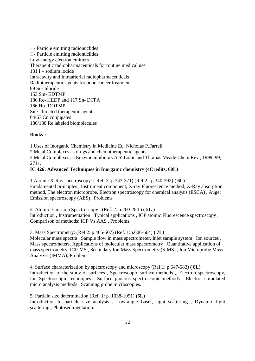- Particle emitting radionuclides - Particle emitting radionuclides Low energy electron emitters Therapeutic radiopharmaceuticals for routine medical use 131 I – sodium iodide Intracavity and Intraarterial radiopharmaceuticals Radiotherapeutic agents for bone cancer treatment 89 Sr-chloride 153 Sm- EDTMP 186 Re- HEDP and 117 Sn- DTPA 166 Ho- DOTMP Site- directed therapeutic agent 64/67 Cu conjugates 186/188 Re labeled biomolecules

### **Books :**

1.Uses of Inorganic Chemistry in Medicine Ed. Nicholas P.Farrell 2.Metal Complexes as drugs and chemotherapeutic agents 3.Metal Complexes as Enzyme inhibitors A.Y.Louie and Thomas Meade Chem.Rev., 1999, 99, 2711.

## **IC 426: Advanced Techniques in Inorganic chemistry (4Credits, 60L)**

1.Atomic X-Ray spectroscopy: ( Ref. 3: p.343-371) (Ref.2 : p.340-392) **( 6L)** Fundamental principles , Instrument component, X-ray Fluorescence method, X-Ray absorption method, The electron microprobe, Electron spectroscopy for chemical analysis (ESCA) , Auger Emission spectroscopy (AES) , Problems

2. Atomic Emission Spectroscopy : (Ref. 2: p.260-284 ) **( 5L )** Introduction , Instrumentation , Typical applications , ICP atomic Fluorescence spectroscopy , Comparison of methods: ICP Vs AAS , Problems.

3. Mass Spectrometry: (Ref.2: p.465-507) (Ref. 1:p.606-664) **( 7L)** Molecular mass spectra , Sample flow in mass spectrometer, Inlet sample system , Ion sources , Mass spectrometers, Applications of molecular mass spectrometry , Quantitative application of mass spectrometry, ICP-MS , Secondary Ion Mass Spectrometry (SIMS) , Ion Microprobe Mass Analyzer (IMMA), Problems

4. Surface characterization by spectroscopy and microscopy (Ref.1: p.647-682) **( 8L)** Introduction to the study of surfaces , Spectroscopic surface methods ,, Electron spectroscopy, Ion Spectroscopic techniques , Surface photons spectroscopic methods , Electro- stimulated micro analysis methods , Scanning probe microscopies.

5. Particle size determination (Ref. 1: p. 1038-1051) **(6L)** Introduction to particle size analysis , Low-angle Laser, light scattering , Dynamic light scattering , Photosedimentation.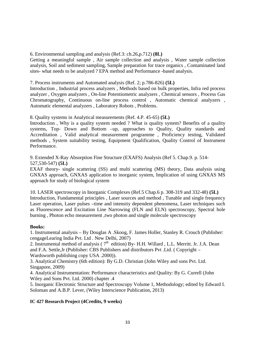6. Environmental sampling and analysis (Ref.3: ch.26,p.712) **(8L)**

Getting a meaningful sample , Air sample collection and analysis , Water sample collection analysis, Soil and sediment sampling, Sample preparation for trace organics , Contaminated land sites- what needs to be analyzed ? EPA method and Performance -based analysis.

7. Process instruments and Automated analysis (Ref. 2; p.786-826) **(5L)**

Introduction , Industrial process analyzers , Methods based on bulk properties, Infra red process analyzer , Oxygen analyzers , On-line Potentiometric analyzers , Chemical sensors , Process Gas Chromatography, Continuous on-line process control , Automatic chemical analyzers , Automatic elemental analyzers , Laboratory Robots , Problems.

8. Quality systems in Analytical measurements (Ref. 4.P. 45-65) **(5L)**

Introduction , Why is a quality system needed ? What is quality system? Benefits of a quality systems, Top- Down and Bottom –up, approaches to Quality, Quality standards and Accreditation , Valid analytical measurement programme , Proficiency testing, Validated methods , System suitability testing, Equipment Qualification, Quality Control of Instrument Performance.

9. Extended X-Ray Absorption Fine Structure (EXAFS) Analysis (Ref 5. Chap.9. p. 514- 527,530-547) **(5L)**

EXAF theory- single scattering (SS) and multi scattering (MS) theory, Data analysis using GNXAS approach, GNXAS application to inorganic system, Implication of using GNXAS MS approach for study of biological system

10. LASER spectroscopy in Inorganic Complexes (Ref.5 Chap.6 p. 308-319 and 332-48) **(5L)** Introduction, Fundamental principles , Laser sources and method , Tunable and single frequency Laser operation, Laser pulses –time and intensity dependent phenomena, Laser techniques such as Fluorescence and Excitation Line Narrowing (FLN and ELN) spectroscopy, Spectral hole burning , Photon echo measurement ,two photon and single molecule spectroscopy

# **Books:**

1. Instrumental analysis – By Douglas A .Skoog, F. James Holler, Stanley R. Crouch (Publisher: cengageLearing India Pvt. Ltd . New Delhi, 2007)

2. Instrumental method of analysis ( $7<sup>th</sup>$  edition) By- H.H. Willard , L.L. Merritt. Jr. J.A. Dean and F.A. Settle,Jr (Publisher: CBS Publishers and distributors Pvt .Ltd. ( Copyright – Wardsworth publishing copy USA .2000)).

3. Analytical Chemistry (6th edition): By G.D. Christian (John Wiley and sons Pvt. Ltd. Singapore, 2009)

4. Analytical Instrumentation: Performance characteristics and Quality: By G. Currell (John Wiley and Sons Pvt. Ltd. 2000) chapter .4

5. Inorganic Electronic Structure and Spectroscopy Volume 1, Methodology; edited by Edward I. Soloman and A.B.P. Lever, (Wiley Interscience Publication, 2013)

# **IC 427 Research Project (4Credits, 9 weeks)**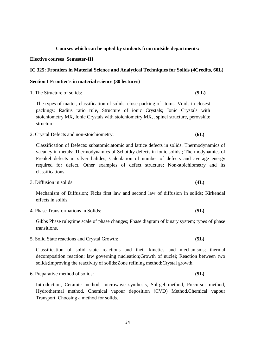# **Courses which can be opted by students from outside departments:**

### **Elective courses Semester-III**

# **IC 325: Frontiers in Material Science and Analytical Techniques for Solids (4Credits, 60L)**

# **Section I Frontier's in material science (30 lectures)**

1. The Structure of solids: **(5 L)** 

The types of matter, classification of solids, close packing of atoms; Voids in closest packings; Radius ratio rule, Structure of ionic Crystals; Ionic Crystals with stoichiometry MX, Ionic Crystals with stoichiometry MX<sub>2</sub>, spinel structure, perovskite structure.

2. Crystal Defects and non-stoichiometry: **(6L)**

Classification of Defects: subatomic,atomic and lattice defects in solids; Thermodynamics of vacancy in metals; Thermodynamics of Schottky defects in ionic solids ; Thermodynamics of Frenkel defects in silver halides; Calculation of number of defects and average energy required for defect, Other examples of defect structure; Non-stoichiometry and its classifications.

3. Diffusion in solids: **(4L)**

Mechanism of Diffusion; Ficks first law and second law of diffusion in solids; Kirkendal effects in solids.

4. Phase Transformations in Solids: **(5L)**

Gibbs Phase rule;time scale of phase changes; Phase diagram of binary system; types of phase transitions.

5. Solid State reactions and Crystal Growth: **(5L)**

Classification of solid state reactions and their kinetics and mechanisms; thermal decomposition reaction; law governing nucleation;Growth of nuclei; Reaction between two solids;Improving the reactivity of solids;Zone refining method;Crystal growth.

6. Preparative method of solids: **(5L)**

Introduction, Ceramic method, microwave synthesis, Sol-gel method, Precursor method, Hydrothermal method, Chemical vapour deposition (CVD) Method,Chemical vapour Transport, Choosing a method for solids.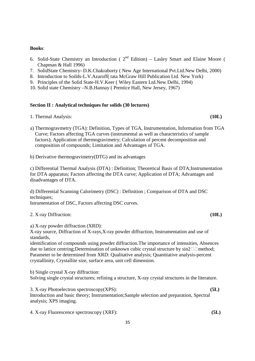### **Books**:

- 6. Solid-State Chemistry an Introduction ( $2<sup>nd</sup>$  Edition) Lasley Smart and Elaine Moore ( Chapman & Hall 1996)
- 7. SolidState Chemistry- D.K.Chakraborty ( New Age International Pvt.Ltd.New Delhi, 2000)
- 8. Introduction to Soilds-L.V.Azaroff( tata McGraw Hill Publication Ltd. New York)
- 9. Principles of the Solid State-H.V.Keer ( Wiley Eastern Ltd.New Delhi, 1994)
- 10. Solid state Chemistry –N.B.Hannay ( Prentice Hall, New Jersey, 1967)

# **Section II : Analytical techniques for solids (30 lectures)**

1. Thermal Analysis: **(10L)**

- a) Thermogravmetry (TGA): Definition, Types of TGA, Instrumentation, Information from TGA Curve; Factors affecting TGA curves (instrumental as well as characteristics of sample factors); Application of thermogravimetry; Calculation of percent decomposition and composition of compounds; Limitation and Advantages of TGA.
- b) Derivative thermogravimetry(DTG) and its advantages

c) Differential Thermal Analysis (DTA) : Definition; Theoretical Basis of DTA;Instrumentation for DTA apparatus; Factors affecting the DTA curve; Application of DTA; Advantages and disadvantages of DTA.

d) Differential Scanning Calorimetry (DSC) : Definition ; Comparison of DTA and DSC techniques; Istrumentation of DSC, Factors affecting DSC curves.

2. X-ray Diffraction: **(10L)**

a) X-ray powder diffraction (XRD):

X-ray source, Diffraction of X-rays,X-ray powder diffraction, Instrumentation and use of standards,

identification of compounds using powder diffraction.The importance of intensities, Absences due to lattice centring;Determination of unknown cubic crystal structure by  $sin2$  method; Parameter to be determined from XRD: Qualitative analysis; Quantitative analysis-percent crystallinity, Crystallite size, surface area, unit cell dimension.

b) Single crystal X-ray diffraction: Solving single crystal structures; refining a structure, X-ray crystal structures in the literature.

3. X-ray Photoelectron spectroscopy(XPS): **(5L)** Introduction and basic theory; Instrumentation;Sample selection and preparation, Spectral analysis; XPS imaging.

4. X-ray Fluorescence spectroscopy (XRF): **(5L)**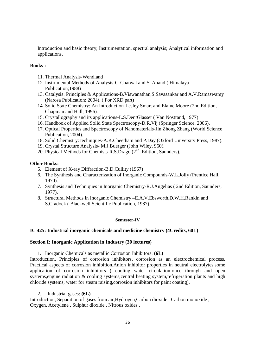Introduction and basic theory; Instrumentation, spectral analysis; Analytical information and applications.

# **Books :**

- 11. Thermal Analysis-Wendland
- 12. Instrumental Methods of Analysis-G-Chatwal and S. Anand ( Himalaya Publication;1988)
- 13. Catalysis: Principles & Applications-B.Viswanathan,S.Savasankar and A.V.Ramaswamy (Narosa Publication; 2004). ( For XRD part)
- 14. Solid State Chemistry: An Introduction-Lesley Smart and Elaine Moore (2nd Edition, Chapman and Hall, 1996).
- 15. Crystallography and its applications-L.S.DentGlasser ( Van Nostrand, 1977)
- 16. Handbook of Applied Solid State Spectroscopy-D.R.Vij (Springer Science, 2006).
- 17. Optical Properties and Spectroscopy of Nanomaterials-Jin Zhong Zhang (World Science Publication, 2004).
- 18. Solid Chemistry: techniques-A.K.Cheetham and P.Day (Oxford University Press, 1987).
- 19. Crystal Structure Analysis- M.J.Buerger (John Wiley, 960).
- 20. Physical Methods for Chemists-R.S.Drago (2<sup>nd</sup> Edition, Saunders).

# **Other Books:**

- 5. Element of X-ray Diffraction-B.D.Cullity (1967)
- 6. The Synthesis and Characterization of Inorganic Compounds-W.L.Jolly (Prentice Hall, 1970).
- 7. Synthesis and Techniques in Inorganic Chemistry-R.J.Angelias ( 2nd Edition, Saunders, 1977).
- 8. Structural Methods in Inorganic Chemistry –E.A.V.Ebsworth,D.W.H.Rankin and S.Cradock ( Blackwell Scientific Publication, 1987).

### **Semester-IV**

### **IC 425: Industrial inorganic chemicals and medicine chemistry (4Credits, 60L)**

### **Section I: Inorganic Application in Industry (30 lectures)**

1. Inorganic Chemicals as metallic Corrosion Inhibitors: **(6L)**

Introduction, Principles of corrosion inhibitors, corrosion as an electrochemical process, Practical aspects of corrosion inhibition,Anion inhibitor properties in neutral electrolytes,some application of corrosion inhibitors ( cooling water circulation-once through and open systems,engine radiation & cooling systems,central heating system,refrigeration plants and high chloride systems, water for steam raising,corrosion inhibitors for paint coating).

2. Industrial gases: **(6L)**

Introduction, Separation of gases from air,Hydrogen,Carbon dioxide , Carbon monoxide , Oxygen, Acetylene , Sulphur dioxide , Nitrous oxides .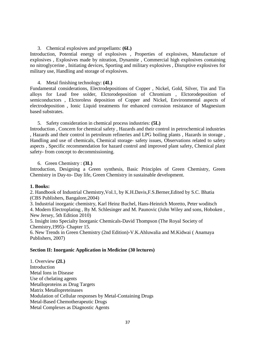### 3. Chemical explosives and propellants: **(6L)**

Introduction, Potential energy of explosives , Properties of explosives, Manufacture of explosives , Explosives made by nitration, Dynamite , Commercial high explosives containing no nitroglycerine , Initiating devices, Sporting and military explosives , Disruptive explosives for military use, Handling and storage of explosives.

### 4. Metal finishing technology: **(4L)**

Fundamental considerations, Electrodepositions of Copper , Nickel, Gold, Silver, Tin and Tin alloys for Lead free solder, Elctorodeposition of Chromium , Elctorodeposition of semiconductors , Elctoroless deposition of Copper and Nickel, Environmental aspects of electrodeposition , Ionic Liquid treatments for enhanced corrosion resistance of Magnesium based substrates.

### 5. Safety consideration in chemical process industries: **(5L)**

Introduction , Concern for chemical safety , Hazards and their control in petrochemical industries , Hazards and their control in petroleum refineries and LPG boiling plants , Hazards in storage , Handling and use of chemicals, Chemical storage- safety issues, Observations related to safety aspects , Specific recommendation for hazard control and improved plant safety, Chemical plant safety- from concept to decommissioning.

6. Green Chemistry : **(3L)**

Introduction, Designing a Green synthesis, Basic Principles of Green Chemistry, Green Chemistry in Day-to- Day life, Green Chemistry in sustainable development.

### **1. Books:**

2. Handbook of Industrial Chemistry,Vol.1, by K.H.Davis,F.S.Berner,Edited by S.C. Bhatia (CBS Publishers, Bangalore,2004)

3. Industrial inorganic chemistry, Karl Heinz Buchel, Hans-Heinrich Moretto, Peter woditsch 4. Modern Electroplating , By M. Schlesinger and M. Paunovic (John Wiley and sons, Hoboken , New Jersey, 5th Edition 2010)

5. Insight into Specialty Inorganic Chemicals-David Thompson (The Royal Society of Chemistry,1995)- Chapter 15.

6. New Trends in Green Chemistry (2nd Edition)-V.K.Ahluwalia and M.Kidwai ( Anamaya Publishers, 2007)

## **Section II: Inorganic Application in Medicine (30 lectures)**

1. Overview **(2L) Introduction** Metal Ions in Disease Use of chelating agents Metalloproteins as Drug Targets Matrix Metallopreteinases Modulation of Cellular responses by Metal-Containing Drugs Metal-Based Chemotherapeutic Drugs Metal Complexes as Diagnostic Agents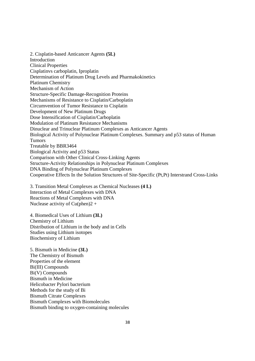2. Cisplatin-based Anticancer Agents **(5L)** Introduction Clinical Properties Cisplatinvs carboplatin, Iproplatin Determination of Platinum Drug Levels and Pharmakokinetics Platinum Chemistry Mechanism of Action Structure-Specific Damage-Recognition Proteins Mechanisms of Resistance to Cisplatin/Carboplatin Circumvention of Tumor Resistance to Cisplatin Development of New Platinum Drugs Dose Intensification of Cisplatin/Carboplatin Modulation of Platinum Resistance Mechanisms Dinuclear and Trinuclear Platinum Complexes as Anticancer Agents Biological Activity of Polynuclear Platinum Complexes. Summary and p53 status of Human Tumors Treatable by BBR3464 Biological Activity and p53 Status Comparison with Other Clinical Cross-Linking Agents Structure-Activity Relationships in Polynuclear Platinum Complexes DNA Binding of Polynuclear Platinum Complexes Cooperative Effects In the Solution Structures of Site-Specific (Pt,Pt) Interstrand Cross-Links

3. Transition Metal Complexes as Chemical Nucleases **(4 L)** Interaction of Metal Complexes with DNA Reactions of Metal Complexes with DNA Nuclease activity of  $Cu(phen)2 +$ 

4. Biomedical Uses of Lithium **(3L)** Chemistry of Lithium Distribution of Lithium in the body and in Cells Studies using Lithium isotopes Biochemistry of Lithium

5. Bismuth in Medicine **(3L)** The Chemistry of Bismuth Properties of the element Bi(III) Compounds Bi(V) Compounds Bismuth in Medicine Helicobacter Pylori bacterium Methods for the study of Bi Bismuth Citrate Complexes Bismuth Complexes with Biomolecules Bismuth binding to oxygen-containing molecules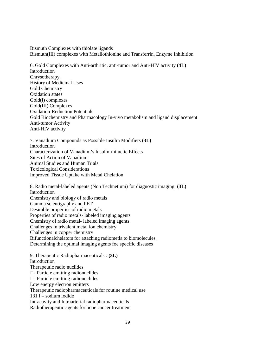Bismuth Complexes with thiolate ligands Bismuth(III) complexes with Metallothionine and Transferrin, Enzyme Inhibition

6. Gold Complexes with Anti-arthritic, anti-tumor and Anti-HIV activity **(4L)** Introduction Chrysotherapy, History of Medicinal Uses Gold Chemistry Oxidation states Gold(I) complexes Gold(III) Complexes Oxidation-Reduction Potentials Gold Biochemistry and Pharmacology In-vivo metabolism and ligand displacement Anti-tumor Activity Anti-HIV activity

7. Vanadium Compounds as Possible Insulin Modifiers **(3L) Introduction** Characterization of Vanadium's Insulin-mimetic Effects Sites of Action of Vanadium Animal Studies and Human Trials Toxicological Considerations Improved Tissue Uptake with Metal Chelation

8. Radio metal-labeled agents (Non Technetium) for diagnostic imaging: **(3L)** Introduction Chemistry and biology of radio metals Gamma scientigraphy and PET Desirable properties of radio metals Properties of radio metals- labeled imaging agents Chemistry of radio metal- labeled imaging agents Challenges in trivalent metal ion chemistry Challenges in copper chemistry Bifunctionalchelators for attaching radiometla to biomolecules. Determining the optimal imaging agents foe specific diseases

9. Therapeutic Radiopharmaceuticals : **(3L) Introduction** Therapeutic radio nuclides - Particle emitting radionuclides - Particle emitting radionuclides Low energy electron emitters Therapeutic radiopharmaceuticals for routine medical use 131 I – sodium iodide Intracavity and Intraarterial radiopharmaceuticals Radiotherapeutic agents for bone cancer treatment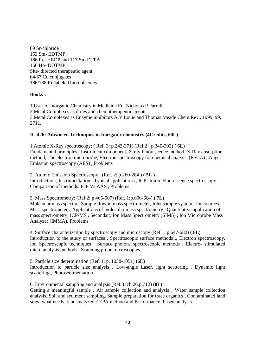89 Sr-chloride 153 Sm- EDTMP 186 Re- HEDP and 117 Sn- DTPA 166 Ho- DOTMP Site- directed therapeutic agent 64/67 Cu conjugates 186/188 Re labeled biomolecules

## **Books :**

1.Uses of Inorganic Chemistry in Medicine Ed. Nicholas P.Farrell 2.Metal Complexes as drugs and chemotherapeutic agents 3.Metal Complexes as Enzyme inhibitors A.Y.Louie and Thomas Meade Chem.Rev., 1999, 99, 2711.

### **IC 426: Advanced Techniques in Inorganic chemistry (4Credits, 60L)**

1.Atomic X-Ray spectroscopy: ( Ref. 3: p.343-371) (Ref.2 : p.340-392) **( 6L)** Fundamental principles , Instrument component, X-ray Fluorescence method, X-Ray absorption method, The electron microprobe, Electron spectroscopy for chemical analysis (ESCA) , Auger Emission spectroscopy (AES) , Problems

2. Atomic Emission Spectroscopy : (Ref. 2: p.260-284 ) **( 5L )** Introduction , Instrumentation , Typical applications , ICP atomic Fluorescence spectroscopy , Comparison of methods: ICP Vs AAS , Problems.

3. Mass Spectrometry: (Ref.2: p.465-507) (Ref. 1:p.606-664) **( 7L)**

Molecular mass spectra , Sample flow in mass spectrometer, Inlet sample system , Ion sources , Mass spectrometers, Applications of molecular mass spectrometry , Quantitative application of mass spectrometry, ICP-MS , Secondary Ion Mass Spectrometry (SIMS) , Ion Microprobe Mass Analyzer (IMMA), Problems

4. Surface characterization by spectroscopy and microscopy (Ref.1: p.647-682) **( 8L)** Introduction to the study of surfaces , Spectroscopic surface methods ,, Electron spectroscopy, Ion Spectroscopic techniques , Surface photons spectroscopic methods , Electro- stimulated micro analysis methods , Scanning probe microscopies.

5. Particle size determination (Ref. 1: p. 1038-1051) **(6L)** Introduction to particle size analysis , Low-angle Laser, light scattering , Dynamic light scattering , Photosedimentation.

6. Environmental sampling and analysis (Ref.3: ch.26,p.712) **(8L)** Getting a meaningful sample , Air sample collection and analysis , Water sample collection analysis, Soil and sediment sampling, Sample preparation for trace organics , Contaminated land sites- what needs to be analyzed ? EPA method and Performance -based analysis.